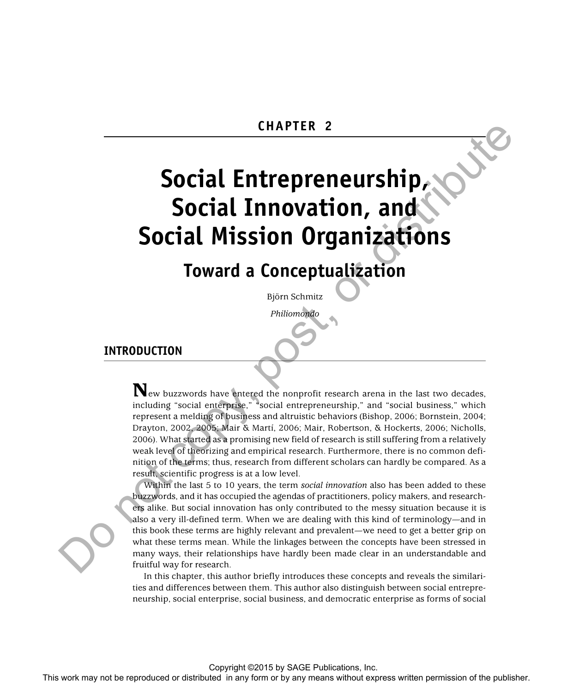# **Social Entrepreneurship, Social Innovation, and Social Mission Organizations**

# **Toward a Conceptualization**

Björn Schmitz

 *Philiomondo* 

# **INTRODUCTION**

 **N**ew buzzwords have entered the nonprofit research arena in the last two decades, including "social enterprise," "social entrepreneurship," and "social business," which represent a melding of business and altruistic behaviors (Bishop, 2006; Bornstein, 2004; Drayton, 2002, 2005; Mair & Martí, 2006; Mair, Robertson, & Hockerts, 2006; Nicholls, 2006). What started as a promising new field of research is still suffering from a relatively weak level of theorizing and empirical research. Furthermore, there is no common definition of the terms; thus, research from different scholars can hardly be compared. As a result, scientific progress is at a low level. This work may not be reproduced or distributed in any form or by any means without express written permission of the publisher. Do not copy, post, or distribute

Within the last 5 to 10 years, the term *social innovation* also has been added to these buzzwords, and it has occupied the agendas of practitioners, policy makers, and researchers alike. But social innovation has only contributed to the messy situation because it is also a very ill-defined term. When we are dealing with this kind of terminology—and in this book these terms are highly relevant and prevalent—we need to get a better grip on what these terms mean. While the linkages between the concepts have been stressed in many ways, their relationships have hardly been made clear in an understandable and fruitful way for research.

In this chapter, this author briefly introduces these concepts and reveals the similarities and differences between them. This author also distinguish between social entrepreneurship, social enterprise, social business, and democratic enterprise as forms of social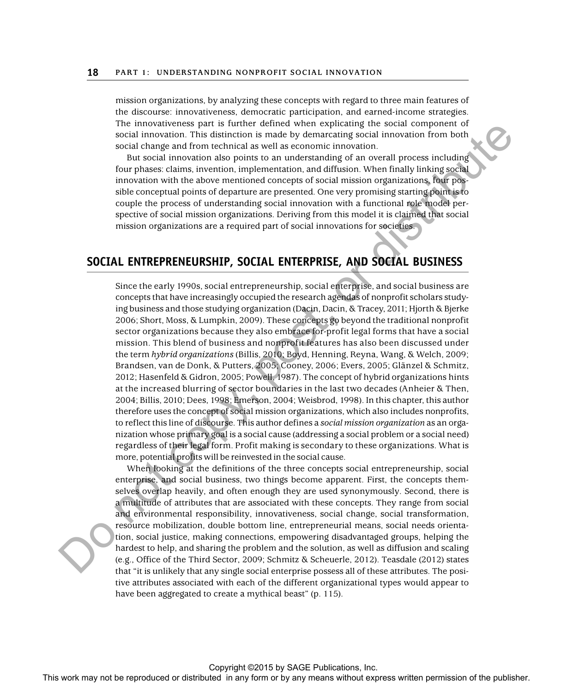mission organizations, by analyzing these concepts with regard to three main features of the discourse: innovativeness, democratic participation, and earned-income strategies. The innovativeness part is further defined when explicating the social component of social innovation. This distinction is made by demarcating social innovation from both social change and from technical as well as economic innovation.

But social innovation also points to an understanding of an overall process including four phases: claims, invention, implementation, and diffusion. When finally linking social innovation with the above mentioned concepts of social mission organizations, four possible conceptual points of departure are presented. One very promising starting point is to couple the process of understanding social innovation with a functional role model perspective of social mission organizations. Deriving from this model it is claimed that social mission organizations are a required part of social innovations for societies.

# **SOCIAL ENTREPRENEURSHIP, SOCIAL ENTERPRISE, AND SOCIAL BUSINESS**

Since the early 1990s, social entrepreneurship, social enterprise, and social business are concepts that have increasingly occupied the research agendas of nonprofit scholars studying business and those studying organization (Dacin, Dacin, & Tracey, 2011; Hjorth & Bjerke 2006; Short, Moss, & Lumpkin, 2009). These concepts go beyond the traditional nonprofit sector organizations because they also embrace for-profit legal forms that have a social mission. This blend of business and nonprofit features has also been discussed under the term *hybrid organizations* (Billis, 2010; Boyd, Henning, Reyna, Wang, & Welch, 2009; Brandsen, van de Donk, & Putters, 2005; Cooney, 2006; Evers, 2005; Glänzel & Schmitz, 2012; Hasenfeld & Gidron, 2005; Powell, 1987). The concept of hybrid organizations hints at the increased blurring of sector boundaries in the last two decades (Anheier & Then, 2004; Billis, 2010; Dees, 1998; Emerson, 2004; Weisbrod, 1998). In this chapter, this author therefore uses the concept of social mission organizations, which also includes nonprofits, to reflect this line of discourse. This author defines a *social mission organization* as an organization whose primary goal is a social cause (addressing a social problem or a social need) regardless of their legal form. Profit making is secondary to these organizations. What is more, potential profits will be reinvested in the social cause. The rest may notice or the rest may not be reproduced or the rest may not any means which are the reproduced or the rest matched in a overall process in any form or by any means with a form or by any means with the publis

When looking at the definitions of the three concepts social entrepreneurship, social enterprise, and social business, two things become apparent. First, the concepts themselves overlap heavily, and often enough they are used synonymously. Second, there is a multitude of attributes that are associated with these concepts. They range from social and environmental responsibility, innovativeness, social change, social transformation, resource mobilization, double bottom line, entrepreneurial means, social needs orientation, social justice, making connections, empowering disadvantaged groups, helping the hardest to help, and sharing the problem and the solution, as well as diffusion and scaling (e.g., Office of the Third Sector, 2009; Schmitz & Scheuerle, 2012). Teasdale (2012) states that "it is unlikely that any single social enterprise possess all of these attributes. The positive attributes associated with each of the different organizational types would appear to have been aggregated to create a mythical beast" (p. 115).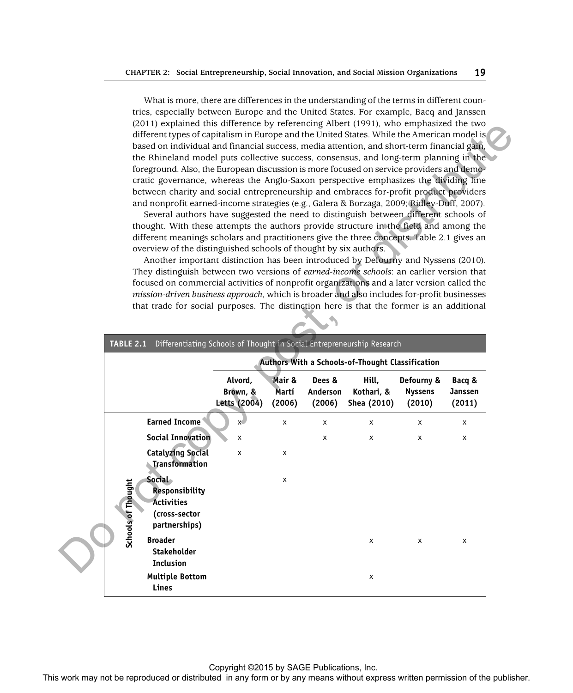What is more, there are differences in the understanding of the terms in different countries, especially between Europe and the United States. For example, Bacq and Janssen (2011) explained this difference by referencing Albert (1991), who emphasized the two different types of capitalism in Europe and the United States. While the American model is based on individual and financial success, media attention, and short-term financial gain, the Rhineland model puts collective success, consensus, and long-term planning in the foreground. Also, the European discussion is more focused on service providers and democratic governance, whereas the Anglo-Saxon perspective emphasizes the dividing line between charity and social entrepreneurship and embraces for-profit product providers and nonprofit earned-income strategies (e.g., Galera & Borzaga, 2009; Ridley-Duff, 2007).

| the Rhineland model puts collective success, consensus, and long-term planning in the<br>foreground. Also, the European discussion is more focused on service providers and demo-<br>cratic governance, whereas the Anglo-Saxon perspective emphasizes the dividing line<br>between charity and social entrepreneurship and embraces for-profit product providers<br>and nonprofit earned-income strategies (e.g., Galera & Borzaga, 2009; Ridley-Duff, 2007).<br>Several authors have suggested the need to distinguish between different schools of<br>thought. With these attempts the authors provide structure in the field and among the<br>different meanings scholars and practitioners give the three concepts. Table 2.1 gives an<br>overview of the distinguished schools of thought by six authors.<br>Another important distinction has been introduced by Defourny and Nyssens (2010).<br>They distinguish between two versions of earned-income schools: an earlier version that<br>focused on commercial activities of nonprofit organizations and a later version called the<br>mission-driven business approach, which is broader and also includes for-profit businesses<br>that trade for social purposes. The distinction here is that the former is an additional |                                     |                           |                              |                                                  |                                        |                             |
|-----------------------------------------------------------------------------------------------------------------------------------------------------------------------------------------------------------------------------------------------------------------------------------------------------------------------------------------------------------------------------------------------------------------------------------------------------------------------------------------------------------------------------------------------------------------------------------------------------------------------------------------------------------------------------------------------------------------------------------------------------------------------------------------------------------------------------------------------------------------------------------------------------------------------------------------------------------------------------------------------------------------------------------------------------------------------------------------------------------------------------------------------------------------------------------------------------------------------------------------------------------------------------------------|-------------------------------------|---------------------------|------------------------------|--------------------------------------------------|----------------------------------------|-----------------------------|
|                                                                                                                                                                                                                                                                                                                                                                                                                                                                                                                                                                                                                                                                                                                                                                                                                                                                                                                                                                                                                                                                                                                                                                                                                                                                                         |                                     |                           |                              |                                                  |                                        |                             |
| Differentiating Schools of Thought in Social Entrepreneurship Research<br><b>TABLE 2.1</b>                                                                                                                                                                                                                                                                                                                                                                                                                                                                                                                                                                                                                                                                                                                                                                                                                                                                                                                                                                                                                                                                                                                                                                                              |                                     |                           |                              |                                                  |                                        |                             |
|                                                                                                                                                                                                                                                                                                                                                                                                                                                                                                                                                                                                                                                                                                                                                                                                                                                                                                                                                                                                                                                                                                                                                                                                                                                                                         |                                     |                           |                              | Authors With a Schools-of-Thought Classification |                                        |                             |
|                                                                                                                                                                                                                                                                                                                                                                                                                                                                                                                                                                                                                                                                                                                                                                                                                                                                                                                                                                                                                                                                                                                                                                                                                                                                                         | Alvord,<br>Brown, &<br>Letts (2004) | Mair &<br>Martí<br>(2006) | Dees &<br>Anderson<br>(2006) | Hill,<br>Kothari, &<br>Shea (2010)               | Defourny &<br><b>Nyssens</b><br>(2010) | Bacq &<br>Janssen<br>(2011) |
| <b>Earned Income</b>                                                                                                                                                                                                                                                                                                                                                                                                                                                                                                                                                                                                                                                                                                                                                                                                                                                                                                                                                                                                                                                                                                                                                                                                                                                                    | $x^{\prime}$                        | x                         | x                            | x                                                | х                                      | х                           |
| <b>Social Innovation</b>                                                                                                                                                                                                                                                                                                                                                                                                                                                                                                                                                                                                                                                                                                                                                                                                                                                                                                                                                                                                                                                                                                                                                                                                                                                                | x                                   |                           | x                            | X                                                | x                                      | x                           |
| <b>Catalyzing Social</b><br><b>Transformation</b>                                                                                                                                                                                                                                                                                                                                                                                                                                                                                                                                                                                                                                                                                                                                                                                                                                                                                                                                                                                                                                                                                                                                                                                                                                       | x                                   | x                         |                              |                                                  |                                        |                             |
| <b>Social</b><br>Schools of Thought<br><b>Responsibility</b><br><b>Activities</b><br>(cross-sector<br>partnerships)                                                                                                                                                                                                                                                                                                                                                                                                                                                                                                                                                                                                                                                                                                                                                                                                                                                                                                                                                                                                                                                                                                                                                                     |                                     | х                         |                              |                                                  |                                        |                             |
|                                                                                                                                                                                                                                                                                                                                                                                                                                                                                                                                                                                                                                                                                                                                                                                                                                                                                                                                                                                                                                                                                                                                                                                                                                                                                         |                                     |                           |                              | х                                                | х                                      | х                           |
| <b>Broader</b><br>Stakeholder<br>Inclusion                                                                                                                                                                                                                                                                                                                                                                                                                                                                                                                                                                                                                                                                                                                                                                                                                                                                                                                                                                                                                                                                                                                                                                                                                                              |                                     |                           |                              |                                                  |                                        |                             |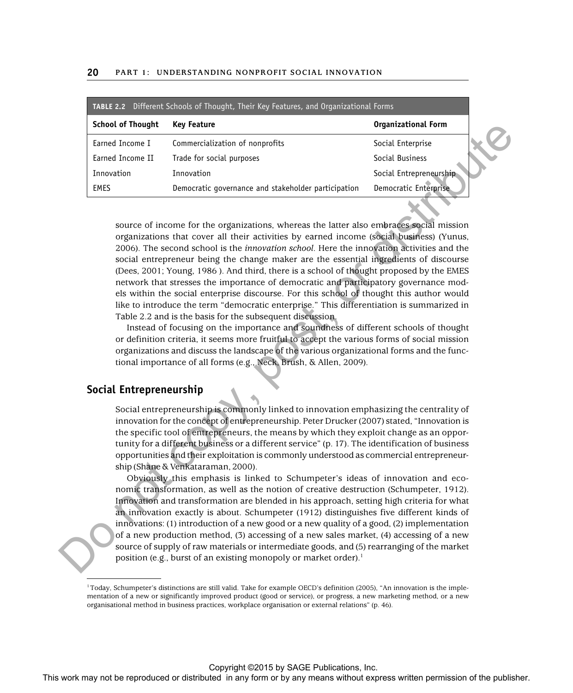|                          | <b>TABLE 2.2</b> Different Schools of Thought, Their Key Features, and Organizational Forms |                            |
|--------------------------|---------------------------------------------------------------------------------------------|----------------------------|
| <b>School of Thought</b> | <b>Key Feature</b>                                                                          | <b>Organizational Form</b> |
| Earned Income I          | Commercialization of nonprofits                                                             | Social Enterprise          |
| Earned Income II         | Trade for social purposes                                                                   | Social Business            |
| Innovation               | Innovation                                                                                  | Social Entrepreneurship    |
| <b>EMES</b>              | Democratic governance and stakeholder participation                                         | Democratic Enterprise      |

source of income for the organizations, whereas the latter also embraces social mission organizations that cover all their activities by earned income (social business) (Yunus, 2006). The second school is the *innovation school*. Here the innovation activities and the social entrepreneur being the change maker are the essential ingredients of discourse (Dees, 2001; Young, 1986 ). And third, there is a school of thought proposed by the EMES network that stresses the importance of democratic and participatory governance models within the social enterprise discourse. For this school of thought this author would like to introduce the term "democratic enterprise." This differentiation is summarized in Table 2.2 and is the basis for the subsequent discussion. Some of the rest is a state of the rest in any form of the publisher or the publisher or the publisher or distributed in a state of the state or the publisher or distributed in a state of the publisher. The publishers wer

Instead of focusing on the importance and soundness of different schools of thought or definition criteria, it seems more fruitful to accept the various forms of social mission organizations and discuss the landscape of the various organizational forms and the functional importance of all forms (e.g., Neck, Brush, & Allen, 2009).

# **Social Entrepreneurship**

Social entrepreneurship is commonly linked to innovation emphasizing the centrality of innovation for the concept of entrepreneurship. Peter Drucker (2007) stated, "Innovation is the specific tool of entrepreneurs, the means by which they exploit change as an opportunity for a different business or a different service" (p. 17). The identification of business opportunities and their exploitation is commonly understood as commercial entrepreneurship (Shane & Venkataraman, 2000).

Obviously this emphasis is linked to Schumpeter's ideas of innovation and economic transformation, as well as the notion of creative destruction (Schumpeter, 1912). Innovation and transformation are blended in his approach, setting high criteria for what an innovation exactly is about. Schumpeter (1912) distinguishes five different kinds of innovations: (1) introduction of a new good or a new quality of a good, (2) implementation of a new production method, (3) accessing of a new sales market, (4) accessing of a new source of supply of raw materials or intermediate goods, and (5) rearranging of the market position (e.g., burst of an existing monopoly or market order).<sup>1</sup>

<sup>1</sup> Today, Schumpeter's distinctions are still valid. Take for example OECD's definition (2005), "An innovation is the implementation of a new or significantly improved product (good or service), or progress, a new marketing method, or a new organisational method in business practices, workplace organisation or external relations" (p. 46).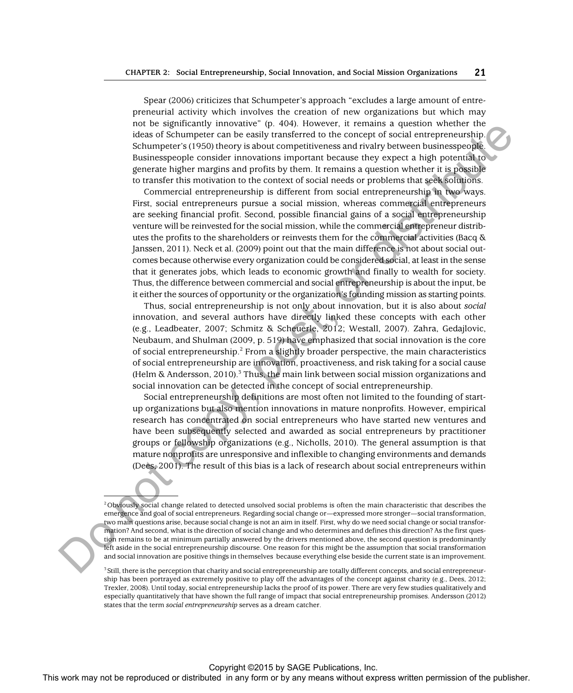Spear (2006) criticizes that Schumpeter's approach "excludes a large amount of entrepreneurial activity which involves the creation of new organizations but which may not be significantly innovative" (p. 404). However, it remains a question whether the ideas of Schumpeter can be easily transferred to the concept of social entrepreneurship. Schumpeter's (1950) theory is about competitiveness and rivalry between businesspeople. Businesspeople consider innovations important because they expect a high potential to generate higher margins and profits by them. It remains a question whether it is possible to transfer this motivation to the context of social needs or problems that seek solutions.

Commercial entrepreneurship is different from social entrepreneurship in two ways. First, social entrepreneurs pursue a social mission, whereas commercial entrepreneurs are seeking financial profit. Second, possible financial gains of a social entrepreneurship venture will be reinvested for the social mission, while the commercial entrepreneur distributes the profits to the shareholders or reinvests them for the commercial activities (Bacq  $\&$ Janssen, 2011). Neck et al. (2009) point out that the main difference is not about social outcomes because otherwise every organization could be considered social, at least in the sense that it generates jobs, which leads to economic growth and finally to wealth for society. Thus, the difference between commercial and social entrepreneurship is about the input, be it either the sources of opportunity or the organization's founding mission as starting points. The may not be reproduced to the reproduced or distributed in any form or any form or any form or any form or any form or any form or any means with the matter in any form or any form or any form or any form or any form o

Thus, social entrepreneurship is not only about innovation, but it is also about *social* innovation, and several authors have directly linked these concepts with each other (e.g., Leadbeater, 2007; Schmitz & Scheuerle, 2012; Westall, 2007). Zahra, Gedajlovic, Neubaum, and Shulman (2009, p. 519) have emphasized that social innovation is the core of social entrepreneurship.<sup>2</sup> From a slightly broader perspective, the main characteristics of social entrepreneurship are innovation, proactiveness, and risk taking for a social cause (Helm & Andersson, 2010).<sup>3</sup> Thus, the main link between social mission organizations and social innovation can be detected in the concept of social entrepreneurship.

Social entrepreneurship definitions are most often not limited to the founding of startup organizations but also mention innovations in mature nonprofits. However, empirical research has concentrated on social entrepreneurs who have started new ventures and have been subsequently selected and awarded as social entrepreneurs by practitioner groups or fellowship organizations (e.g., Nicholls, 2010). The general assumption is that mature nonprofits are unresponsive and inflexible to changing environments and demands (Dees, 2001). The result of this bias is a lack of research about social entrepreneurs within

2 Obviously social change related to detected unsolved social problems is often the main characteristic that describes the emergence and goal of social entrepreneurs. Regarding social change or—expressed more stronger—social transformation, two main questions arise, because social change is not an aim in itself. First, why do we need social change or social transformation? And second, what is the direction of social change and who determines and defines this direction? As the first question remains to be at minimum partially answered by the drivers mentioned above, the second question is predominantly left aside in the social entrepreneurship discourse. One reason for this might be the assumption that social transformation and social innovation are positive things in themselves because everything else beside the current state is an improvement.

3 Still, there is the perception that charity and social entrepreneurship are totally different concepts, and social entrepreneurship has been portrayed as extremely positive to play off the advantages of the concept against charity (e.g., Dees, 2012; Trexler, 2008). Until today, social entrepreneurship lacks the proof of its power. There are very few studies qualitatively and especially quantitatively that have shown the full range of impact that social entrepreneurship promises. Andersson (2012) states that the term *social entrepreneurship* serves as a dream catcher.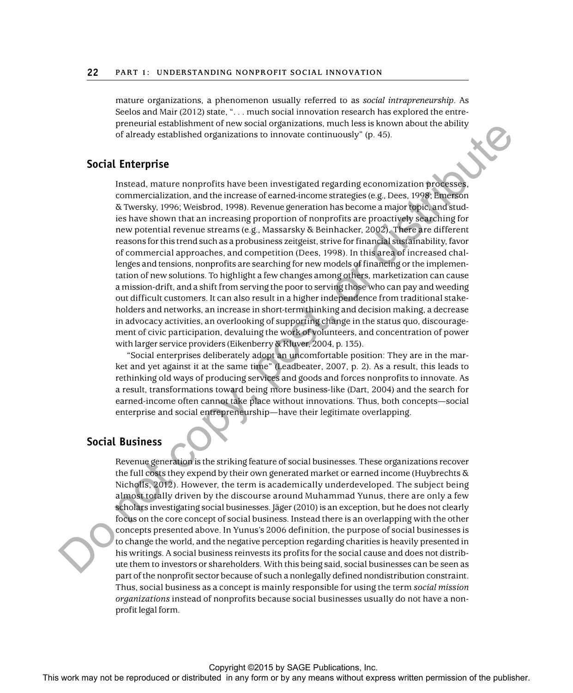mature organizations, a phenomenon usually referred to as *social intrapreneurship*. As Seelos and Mair (2012) state, ". . . much social innovation research has explored the entrepreneurial establishment of new social organizations, much less is known about the ability of already established organizations to innovate continuously" (p. 45).

#### **Social Enterprise**

Instead, mature nonprofits have been investigated regarding economization processes, commercialization, and the increase of earned-income strategies (e.g., Dees, 1998; Emerson & Twersky, 1996; Weisbrod, 1998). Revenue generation has become a major topic, and studies have shown that an increasing proportion of nonprofits are proactively searching for new potential revenue streams (e.g., Massarsky & Beinhacker, 2002). There are different reasons for this trend such as a probusiness zeitgeist, strive for financial sustainability, favor of commercial approaches, and competition (Dees, 1998). In this area of increased challenges and tensions, nonprofits are searching for new models of financing or the implementation of new solutions. To highlight a few changes among others, marketization can cause a mission-drift, and a shift from serving the poor to serving those who can pay and weeding out difficult customers. It can also result in a higher independence from traditional stakeholders and networks, an increase in short-term thinking and decision making, a decrease in advocacy activities, an overlooking of supporting change in the status quo, discouragement of civic participation, devaluing the work of volunteers, and concentration of power with larger service providers (Eikenberry & Kluver, 2004, p. 135). For the rest in any method or distributed in any form or by any method in any form or by any method in any form or by any method in any the publisher.<br>
This work may not be reproduced in any form of the publisher of the pu

"Social enterprises deliberately adopt an uncomfortable position: They are in the market and yet against it at the same time" (Leadbeater, 2007, p. 2). As a result, this leads to rethinking old ways of producing services and goods and forces nonprofits to innovate. As a result, transformations toward being more business-like (Dart, 2004) and the search for earned-income often cannot take place without innovations. Thus, both concepts—social enterprise and social entrepreneurship—have their legitimate overlapping.

#### **Social Business**

Revenue generation is the striking feature of social businesses. These organizations recover the full costs they expend by their own generated market or earned income (Huybrechts & Nicholls, 2012). However, the term is academically underdeveloped. The subject being almost totally driven by the discourse around Muhammad Yunus, there are only a few scholars investigating social businesses. Jäger (2010) is an exception, but he does not clearly focus on the core concept of social business. Instead there is an overlapping with the other concepts presented above. In Yunus's 2006 definition, the purpose of social businesses is to change the world, and the negative perception regarding charities is heavily presented in his writings. A social business reinvests its profits for the social cause and does not distribute them to investors or shareholders. With this being said, social businesses can be seen as part of the nonprofit sector because of such a nonlegally defined nondistribution constraint. Thus, social business as a concept is mainly responsible for using the term *social mission organizations* instead of nonprofits because social businesses usually do not have a nonprofit legal form.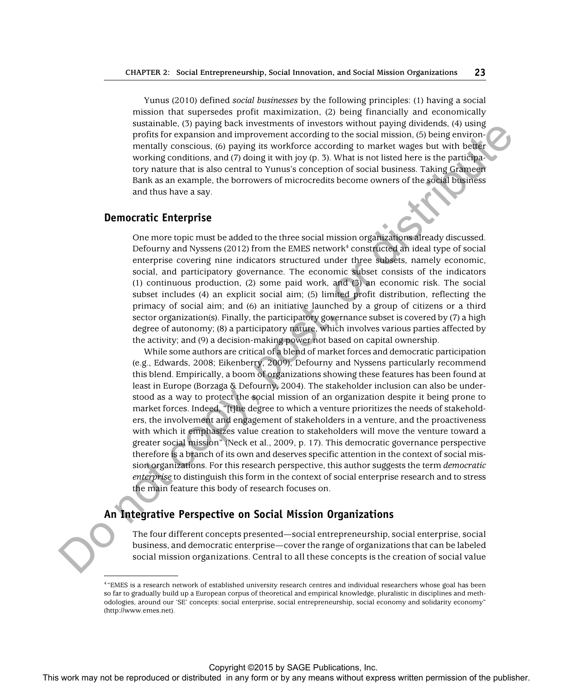Yunus (2010) defined *social businesses* by the following principles: (1) having a social mission that supersedes profit maximization, (2) being financially and economically sustainable, (3) paying back investments of investors without paying dividends, (4) using profits for expansion and improvement according to the social mission, (5) being environmentally conscious, (6) paying its workforce according to market wages but with better working conditions, and (7) doing it with joy (p. 3). What is not listed here is the participatory nature that is also central to Yunus's conception of social business. Taking Grameen Bank as an example, the borrowers of microcredits become owners of the social business and thus have a say.

#### **Democratic Enterprise**

One more topic must be added to the three social mission organizations already discussed. Defourny and Nyssens (2012) from the EMES network $^4$  constructed an ideal type of social enterprise covering nine indicators structured under three subsets, namely economic, social, and participatory governance. The economic subset consists of the indicators (1) continuous production, (2) some paid work, and (3) an economic risk. The social subset includes (4) an explicit social aim; (5) limited profit distribution, reflecting the primacy of social aim; and (6) an initiative launched by a group of citizens or a third sector organization(s). Finally, the participatory governance subset is covered by (7) a high degree of autonomy; (8) a participatory nature, which involves various parties affected by the activity; and (9) a decision-making power not based on capital ownership.

While some authors are critical of a blend of market forces and democratic participation (e.g., Edwards, 2008; Eikenberry, 2009), Defourny and Nyssens particularly recommend this blend. Empirically, a boom of organizations showing these features has been found at least in Europe (Borzaga & Defourny, 2004). The stakeholder inclusion can also be understood as a way to protect the social mission of an organization despite it being prone to market forces. Indeed, "[t]he degree to which a venture prioritizes the needs of stakeholders, the involvement and engagement of stakeholders in a venture, and the proactiveness with which it emphasizes value creation to stakeholders will move the venture toward a greater social mission" (Neck et al., 2009, p. 17). This democratic governance perspective therefore is a branch of its own and deserves specific attention in the context of social mission organizations. For this research perspective, this author suggests the term *democratic enterprise* to distinguish this form in the context of social enterprise research and to stress the main feature this body of research focuses on. Sometimes the reproduced or the reproduced or distributed in any form or by a mean state or the reproduced or the publisher or the publisher or the publisher or the publisher. The publisher of the publisher or distributed

### **An Integrative Perspective on Social Mission Organizations**

The four different concepts presented—social entrepreneurship, social enterprise, social business, and democratic enterprise—cover the range of organizations that can be labeled social mission organizations. Central to all these concepts is the creation of social value

<sup>4</sup> "EMES is a research network of established university research centres and individual researchers whose goal has been so far to gradually build up a European corpus of theoretical and empirical knowledge, pluralistic in disciplines and methodologies, around our 'SE' concepts: social enterprise, social entrepreneurship, social economy and solidarity economy" (http://www.emes.net).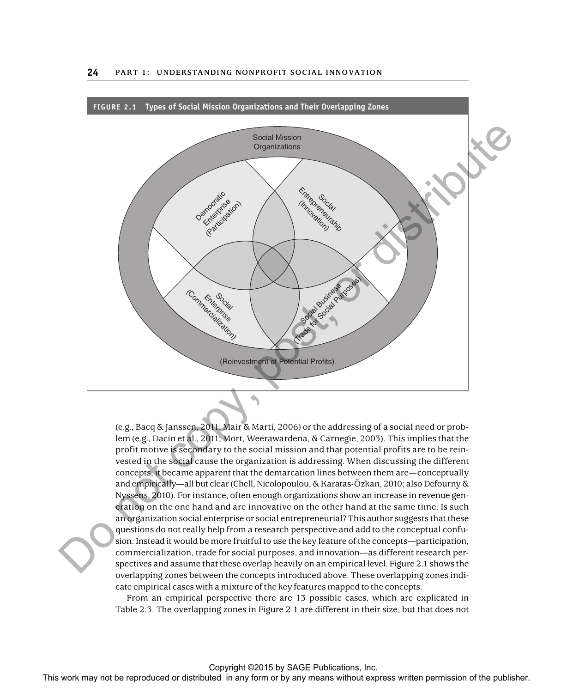

(e.g., Bacq & Janssen, 2011; Mair & Martí, 2006) or the addressing of a social need or problem (e.g., Dacin et al., 2011; Mort, Weerawardena, & Carnegie, 2003). This implies that the profit motive is secondary to the social mission and that potential profits are to be reinvested in the social cause the organization is addressing. When discussing the different concepts, it became apparent that the demarcation lines between them are— conceptually and empirically—all but clear (Chell, Nicolopoulou, & Karatas-Özkan, 2010; also Defourny & Nyssens, 2010). For instance, often enough organizations show an increase in revenue generation on the one hand and are innovative on the other hand at the same time. Is such an organization social enterprise or social entrepreneurial? This author suggests that these questions do not really help from a research perspective and add to the conceptual confusion. Instead it would be more fruitful to use the key feature of the concepts—participation, commercialization, trade for social purposes, and innovation—as different research perspectives and assume that these overlap heavily on an empirical level. Figure 2.1 shows the overlapping zones between the concepts introduced above. These overlapping zones indicate empirical cases with a mixture of the key features mapped to the concepts.

From an empirical perspective there are 13 possible cases, which are explicated in Table 2.3. The overlapping zones in Figure 2.1 are different in their size, but that does not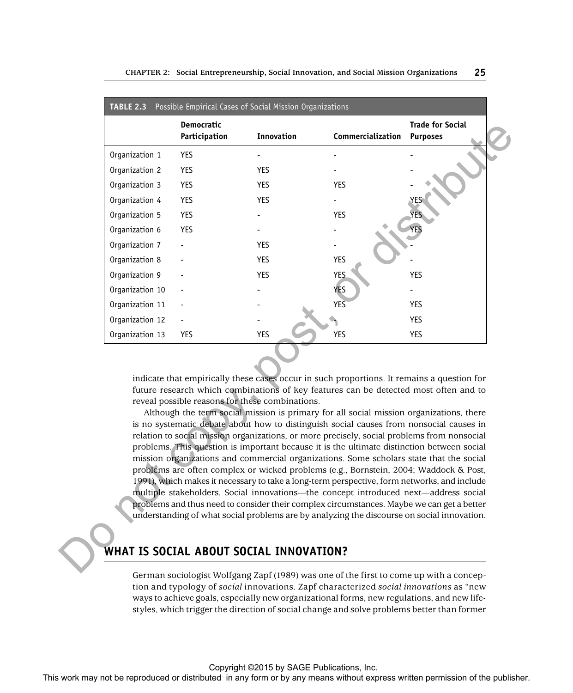|                 | <b>Democratic</b><br>Participation | Innovation                                                    | Commercialization                                                                                                                                                                                                                                                                                                                                                                                                                                                                                                                                                                                                                                                                                                                                               | <b>Trade for Social</b><br><b>Purposes</b> |
|-----------------|------------------------------------|---------------------------------------------------------------|-----------------------------------------------------------------------------------------------------------------------------------------------------------------------------------------------------------------------------------------------------------------------------------------------------------------------------------------------------------------------------------------------------------------------------------------------------------------------------------------------------------------------------------------------------------------------------------------------------------------------------------------------------------------------------------------------------------------------------------------------------------------|--------------------------------------------|
| Organization 1  | YES                                |                                                               |                                                                                                                                                                                                                                                                                                                                                                                                                                                                                                                                                                                                                                                                                                                                                                 |                                            |
| Organization 2  | YES                                | YES                                                           |                                                                                                                                                                                                                                                                                                                                                                                                                                                                                                                                                                                                                                                                                                                                                                 |                                            |
| Organization 3  | YES                                | <b>YES</b>                                                    | YES                                                                                                                                                                                                                                                                                                                                                                                                                                                                                                                                                                                                                                                                                                                                                             |                                            |
| Organization 4  | YES                                | <b>YES</b>                                                    |                                                                                                                                                                                                                                                                                                                                                                                                                                                                                                                                                                                                                                                                                                                                                                 | YES.                                       |
| Organization 5  | <b>YES</b>                         |                                                               | YES                                                                                                                                                                                                                                                                                                                                                                                                                                                                                                                                                                                                                                                                                                                                                             | YES                                        |
| Organization 6  | <b>YES</b>                         |                                                               |                                                                                                                                                                                                                                                                                                                                                                                                                                                                                                                                                                                                                                                                                                                                                                 | YES                                        |
| Organization 7  |                                    | YES                                                           |                                                                                                                                                                                                                                                                                                                                                                                                                                                                                                                                                                                                                                                                                                                                                                 |                                            |
| Organization 8  |                                    | YES                                                           | <b>YES</b>                                                                                                                                                                                                                                                                                                                                                                                                                                                                                                                                                                                                                                                                                                                                                      |                                            |
| Organization 9  |                                    | <b>YES</b>                                                    | <b>YES</b>                                                                                                                                                                                                                                                                                                                                                                                                                                                                                                                                                                                                                                                                                                                                                      | YES                                        |
| Organization 10 |                                    |                                                               | YES                                                                                                                                                                                                                                                                                                                                                                                                                                                                                                                                                                                                                                                                                                                                                             |                                            |
| Organization 11 |                                    |                                                               | <b>YES</b>                                                                                                                                                                                                                                                                                                                                                                                                                                                                                                                                                                                                                                                                                                                                                      | YES                                        |
| Organization 12 |                                    |                                                               |                                                                                                                                                                                                                                                                                                                                                                                                                                                                                                                                                                                                                                                                                                                                                                 | YES                                        |
|                 |                                    |                                                               |                                                                                                                                                                                                                                                                                                                                                                                                                                                                                                                                                                                                                                                                                                                                                                 |                                            |
| Organization 13 | <b>YES</b>                         | <b>YES</b><br>reveal possible reasons for these combinations. | <b>YES</b><br>indicate that empirically these cases occur in such proportions. It remains a question for<br>future research which combinations of key features can be detected most often and to<br>Although the term social mission is primary for all social mission organizations, there<br>is no systematic debate about how to distinguish social causes from nonsocial causes in                                                                                                                                                                                                                                                                                                                                                                          | <b>YES</b>                                 |
|                 |                                    |                                                               | relation to social mission organizations, or more precisely, social problems from nonsocial<br>problems. This question is important because it is the ultimate distinction between social<br>mission organizations and commercial organizations. Some scholars state that the social<br>problems are often complex or wicked problems (e.g., Bornstein, 2004; Waddock & Post,<br>1991), which makes it necessary to take a long-term perspective, form networks, and include<br>multiple stakeholders. Social innovations—the concept introduced next—address social<br>problems and thus need to consider their complex circumstances. Maybe we can get a better<br>understanding of what social problems are by analyzing the discourse on social innovation. |                                            |

# **WHAT IS SOCIAL ABOUT SOCIAL INNOVATION?**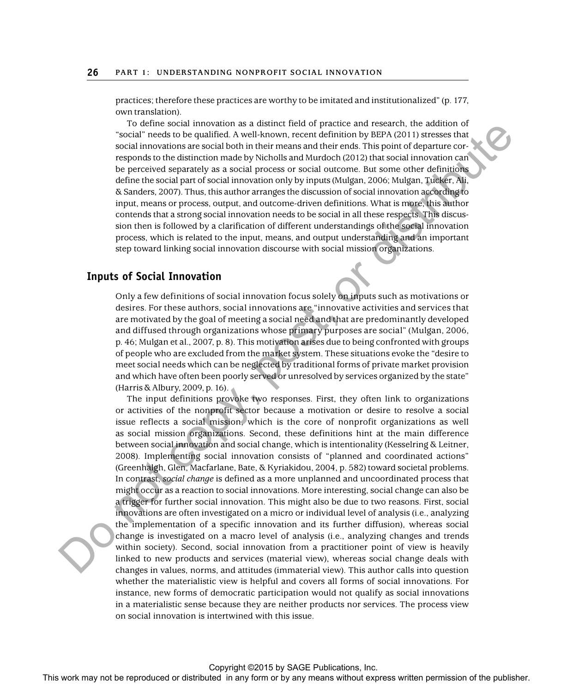practices; therefore these practices are worthy to be imitated and institutionalized" (p. 177, own translation).

To define social innovation as a distinct field of practice and research, the addition of "social" needs to be qualified. A well-known, recent definition by BEPA (2011) stresses that social innovations are social both in their means and their ends. This point of departure corresponds to the distinction made by Nicholls and Murdoch (2012) that social innovation can be perceived separately as a social process or social outcome. But some other definitions define the social part of social innovation only by inputs (Mulgan, 2006; Mulgan, Tucker, Ali, & Sanders, 2007). Thus, this author arranges the discussion of social innovation according to input, means or process, output, and outcome-driven definitions. What is more, this author contends that a strong social innovation needs to be social in all these respects. This discussion then is followed by a clarification of different understandings of the social innovation process, which is related to the input, means, and output understanding and an important step toward linking social innovation discourse with social mission organizations.

### **Inputs of Social Innovation**

Only a few definitions of social innovation focus solely on inputs such as motivations or desires. For these authors, social innovations are "innovative activities and services that are motivated by the goal of meeting a social need and that are predominantly developed and diffused through organizations whose primary purposes are social" (Mulgan, 2006, p. 46; Mulgan et al., 2007, p. 8). This motivation arises due to being confronted with groups of people who are excluded from the market system. These situations evoke the "desire to meet social needs which can be neglected by traditional forms of private market provision and which have often been poorly served or unresolved by services organized by the state" (Harris & Albury, 2009, p. 16).

The input definitions provoke two responses. First, they often link to organizations or activities of the nonprofit sector because a motivation or desire to resolve a social issue reflects a social mission, which is the core of nonprofit organizations as well as social mission organizations. Second, these definitions hint at the main difference between social innovation and social change, which is intentionality (Kesselring & Leitner, 2008). Implementing social innovation consists of "planned and coordinated actions" (Greenhalgh, Glen, Macfarlane, Bate, & Kyriakidou, 2004, p. 582) toward societal problems. In contrast, *social change* is defined as a more unplanned and uncoordinated process that might occur as a reaction to social innovations. More interesting, social change can also be a trigger for further social innovation. This might also be due to two reasons. First, social innovations are often investigated on a micro or individual level of analysis (i.e., analyzing the implementation of a specific innovation and its further diffusion), whereas social change is investigated on a macro level of analysis (i.e., analyzing changes and trends within society). Second, social innovation from a practitioner point of view is heavily linked to new products and services (material view), whereas social change deals with changes in values, norms, and attitudes (immaterial view). This author calls into question whether the materialistic view is helpful and covers all forms of social innovations. For instance, new forms of democratic participation would not qualify as social innovations in a materialistic sense because they are neither products nor services. The process view on social innovation is intertwined with this issue. The continuous constrained or any form or distributed or distributed in any form or by any form or by any form or by any form or by any form or by any form or by any means with  $\alpha$  distribution or  $\alpha$  means with the pub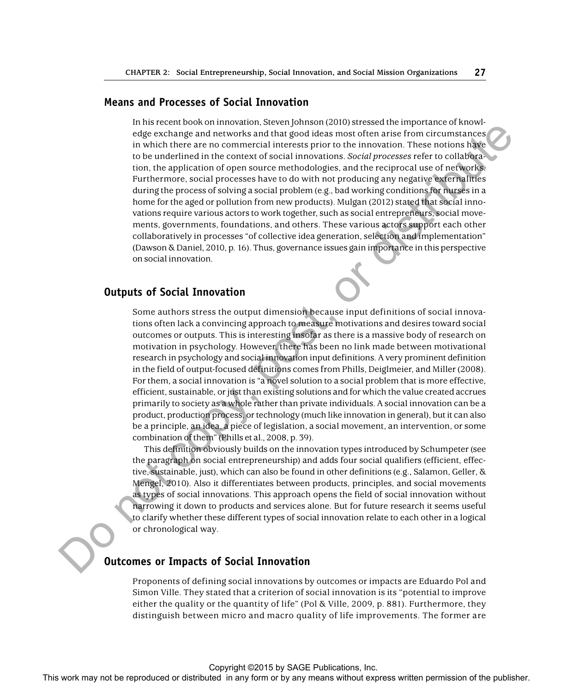#### **Means and Processes of Social Innovation**

In his recent book on innovation, Steven Johnson (2010) stressed the importance of knowledge exchange and networks and that good ideas most often arise from circumstances in which there are no commercial interests prior to the innovation. These notions have to be underlined in the context of social innovations. *Social processes* refer to collaboration, the application of open source methodologies, and the reciprocal use of networks. Furthermore, social processes have to do with not producing any negative externalities during the process of solving a social problem (e.g., bad working conditions for nurses in a home for the aged or pollution from new products). Mulgan (2012) stated that social innovations require various actors to work together, such as social entrepreneurs, social movements, governments, foundations, and others. These various actors support each other collaboratively in processes "of collective idea generation, selection and implementation" (Dawson & Daniel, 2010, p. 16). Thus, governance issues gain importance in this perspective on social innovation. represented or the computer may not be reproduced or distributed in the form or business. The reproduced or the matterns in any form or business are the column or business with the computer or business with the computer o

# **Outputs of Social Innovation**

Some authors stress the output dimension because input definitions of social innovations often lack a convincing approach to measure motivations and desires toward social outcomes or outputs. This is interesting insofar as there is a massive body of research on motivation in psychology. However, there has been no link made between motivational research in psychology and social innovation input definitions. A very prominent definition in the field of output-focused definitions comes from Phills, Deiglmeier, and Miller (2008). For them, a social innovation is "a novel solution to a social problem that is more effective, efficient, sustainable, or just than existing solutions and for which the value created accrues primarily to society as a whole rather than private individuals. A social innovation can be a product, production process, or technology (much like innovation in general), but it can also be a principle, an idea, a piece of legislation, a social movement, an intervention, or some combination of them" (Phills et al., 2008, p. 39).

This definition obviously builds on the innovation types introduced by Schumpeter (see the paragraph on social entrepreneurship) and adds four social qualifiers (efficient, effective, sustainable, just), which can also be found in other definitions (e.g., Salamon, Geller, & Mengel, 2010). Also it differentiates between products, principles, and social movements as types of social innovations. This approach opens the field of social innovation without narrowing it down to products and services alone. But for future research it seems useful to clarify whether these different types of social innovation relate to each other in a logical or chronological way.

# **Outcomes or Impacts of Social Innovation**

Proponents of defining social innovations by outcomes or impacts are Eduardo Pol and Simon Ville. They stated that a criterion of social innovation is its "potential to improve either the quality or the quantity of life" (Pol & Ville, 2009, p. 881). Furthermore, they distinguish between micro and macro quality of life improvements. The former are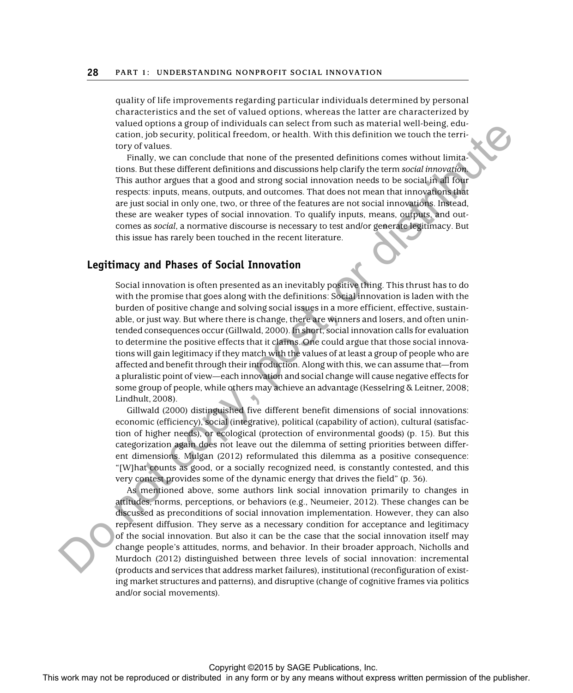quality of life improvements regarding particular individuals determined by personal characteristics and the set of valued options, whereas the latter are characterized by valued options a group of individuals can select from such as material well-being, education, job security, political freedom, or health. With this definition we touch the territory of values.

Finally, we can conclude that none of the presented definitions comes without limitations. But these different definitions and discussions help clarify the term *social innovation.* This author argues that a good and strong social innovation needs to be social in all four respects: inputs, means, outputs, and outcomes. That does not mean that innovations that are just social in only one, two, or three of the features are not social innovations. Instead, these are weaker types of social innovation. To qualify inputs, means, outputs, and outcomes as *social*, a normative discourse is necessary to test and/or generate legitimacy. But this issue has rarely been touched in the recent literature.

#### **Legitimacy and Phases of Social Innovation**

Social innovation is often presented as an inevitably positive thing. This thrust has to do with the promise that goes along with the definitions: Social innovation is laden with the burden of positive change and solving social issues in a more efficient, effective, sustainable, or just way. But where there is change, there are winners and losers, and often unintended consequences occur (Gillwald, 2000). In short, social innovation calls for evaluation to determine the positive effects that it claims. One could argue that those social innovations will gain legitimacy if they match with the values of at least a group of people who are affected and benefit through their introduction. Along with this, we can assume that—from a pluralistic point of view—each innovation and social change will cause negative effects for some group of people, while others may achieve an advantage (Kesselring & Leitner, 2008; Lindhult, 2008). Valid to give the reproduced or the reproduced or the representation worked in any form or by any means without the representation or by any means without the respect of the publisher or the publisher. This we can conside

Gillwald (2000) distinguished five different benefit dimensions of social innovations: economic (efficiency), social (integrative), political (capability of action), cultural (satisfaction of higher needs), or ecological (protection of environmental goods) (p. 15). But this categorization again does not leave out the dilemma of setting priorities between different dimensions. Mulgan (2012) reformulated this dilemma as a positive consequence: "[W]hat counts as good, or a socially recognized need, is constantly contested, and this very contest provides some of the dynamic energy that drives the field" (p. 36).

As mentioned above, some authors link social innovation primarily to changes in attitudes, norms, perceptions, or behaviors (e.g., Neumeier, 2012). These changes can be discussed as preconditions of social innovation implementation. However, they can also represent diffusion. They serve as a necessary condition for acceptance and legitimacy of the social innovation. But also it can be the case that the social innovation itself may change people's attitudes, norms, and behavior. In their broader approach, Nicholls and Murdoch (2012) distinguished between three levels of social innovation: incremental (products and services that address market failures), institutional (reconfiguration of existing market structures and patterns), and disruptive (change of cognitive frames via politics and/or social movements).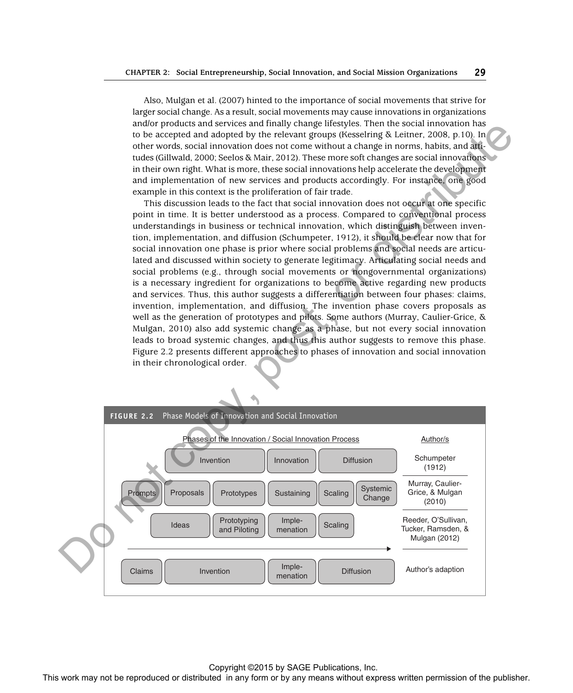Also, Mulgan et al. (2007) hinted to the importance of social movements that strive for larger social change. As a result, social movements may cause innovations in organizations and/or products and services and finally change lifestyles. Then the social innovation has to be accepted and adopted by the relevant groups (Kesselring & Leitner, 2008, p.10). In other words, social innovation does not come without a change in norms, habits, and attitudes (Gillwald, 2000; Seelos & Mair, 2012). These more soft changes are social innovations in their own right. What is more, these social innovations help accelerate the development and implementation of new services and products accordingly. For instance, one good example in this context is the proliferation of fair trade.

This discussion leads to the fact that social innovation does not occur at one specific point in time. It is better understood as a process. Compared to conventional process understandings in business or technical innovation, which distinguish between invention, implementation, and diffusion (Schumpeter, 1912), it should be clear now that for social innovation one phase is prior where social problems and social needs are articulated and discussed within society to generate legitimacy. Articulating social needs and social problems (e.g., through social movements or nongovernmental organizations) is a necessary ingredient for organizations to become active regarding new products and services. Thus, this author suggests a differentiation between four phases: claims, invention, implementation, and diffusion. The invention phase covers proposals as well as the generation of prototypes and pilots. Some authors (Murray, Caulier-Grice, & Mulgan, 2010) also add systemic change as a phase, but not every social innovation leads to broad systemic changes, and thus this author suggests to remove this phase. Figure 2.2 presents different approaches to phases of innovation and social innovation in their chronological order.

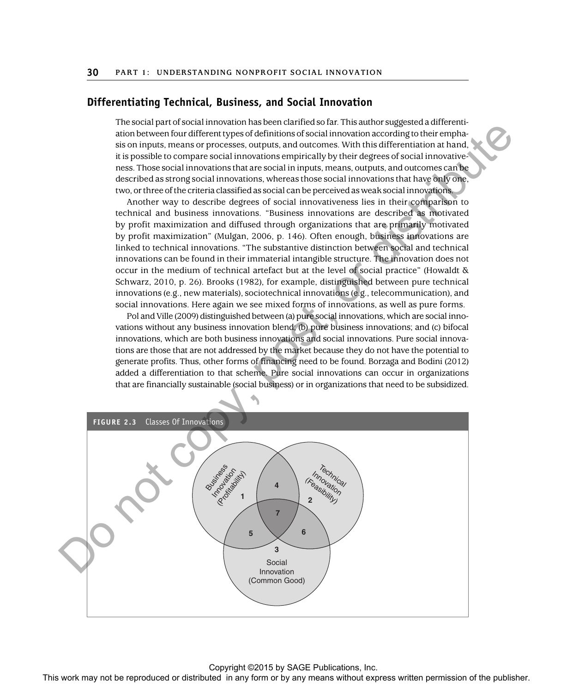#### **Differentiating Technical, Business, and Social Innovation**

The social part of social innovation has been clarified so far. This author suggested a differentiation between four different types of definitions of social innovation according to their emphasis on inputs, means or processes, outputs, and outcomes. With this differentiation at hand, it is possible to compare social innovations empirically by their degrees of social innovativeness. Those social innovations that are social in inputs, means, outputs, and outcomes can be described as strong social innovations, whereas those social innovations that have only one, two, or three of the criteria classified as social can be perceived as weak social innovations.

Another way to describe degrees of social innovativeness lies in their comparison to technical and business innovations. "Business innovations are described as motivated by profit maximization and diffused through organizations that are primarily motivated by profit maximization" (Mulgan, 2006, p. 146). Often enough, business innovations are linked to technical innovations. "The substantive distinction between social and technical innovations can be found in their immaterial intangible structure. The innovation does not occur in the medium of technical artefact but at the level of social practice" (Howaldt & Schwarz, 2010, p. 26). Brooks (1982), for example, distinguished between pure technical innovations (e.g., new materials), sociotechnical innovations (e.g., telecommunication), and social innovations. Here again we see mixed forms of innovations, as well as pure forms.

Pol and Ville (2009) distinguished between (a) pure social innovations, which are social innovations without any business innovation blend; (b) pure business innovations; and (c) bifocal innovations, which are both business innovations and social innovations. Pure social innovations are those that are not addressed by the market because they do not have the potential to generate profits. Thus, other forms of financing need to be found. Borzaga and Bodini (2012) added a differentiation to that scheme. Pure social innovations can occur in organizations that are financially sustainable (social business) or in organizations that need to be subsidized.

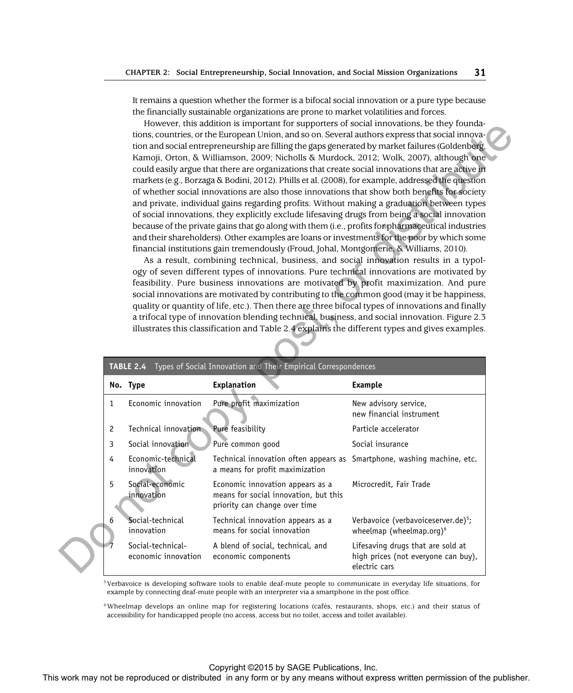It remains a question whether the former is a bifocal social innovation or a pure type because the financially sustainable organizations are prone to market volatilities and forces.

|   | of whether social innovations are also those innovations that show both benefits for society<br>and private, individual gains regarding profits. Without making a graduation between types<br>of social innovations, they explicitly exclude lifesaving drugs from being a social innovation<br>because of the private gains that go along with them (i.e., profits for pharmaceutical industries<br>and their shareholders). Other examples are loans or investments for the poor by which some<br>financial institutions gain tremendously (Froud, Johal, Montgomerie, & Williams, 2010).<br>As a result, combining technical, business, and social innovation results in a typol-<br>ogy of seven different types of innovations. Pure technical innovations are motivated by<br>feasibility. Pure business innovations are motivated by profit maximization. And pure<br>social innovations are motivated by contributing to the common good (may it be happiness,<br>quality or quantity of life, etc.). Then there are three bifocal types of innovations and finally<br>a trifocal type of innovation blending technical, business, and social innovation. Figure 2.3<br>illustrates this classification and Table 2.4 explains the different types and gives examples. |                                                                                                                                                                                                                                    |                                                                                           |  |
|---|--------------------------------------------------------------------------------------------------------------------------------------------------------------------------------------------------------------------------------------------------------------------------------------------------------------------------------------------------------------------------------------------------------------------------------------------------------------------------------------------------------------------------------------------------------------------------------------------------------------------------------------------------------------------------------------------------------------------------------------------------------------------------------------------------------------------------------------------------------------------------------------------------------------------------------------------------------------------------------------------------------------------------------------------------------------------------------------------------------------------------------------------------------------------------------------------------------------------------------------------------------------------------------|------------------------------------------------------------------------------------------------------------------------------------------------------------------------------------------------------------------------------------|-------------------------------------------------------------------------------------------|--|
|   | TABLE 2.4<br>No. Type                                                                                                                                                                                                                                                                                                                                                                                                                                                                                                                                                                                                                                                                                                                                                                                                                                                                                                                                                                                                                                                                                                                                                                                                                                                          | Types of Social Innovation and Their Empirical Correspondences<br>Explanation                                                                                                                                                      | <b>Example</b>                                                                            |  |
| 1 | Economic innovation                                                                                                                                                                                                                                                                                                                                                                                                                                                                                                                                                                                                                                                                                                                                                                                                                                                                                                                                                                                                                                                                                                                                                                                                                                                            | Pure profit maximization                                                                                                                                                                                                           | New advisory service,<br>new financial instrument                                         |  |
| 2 | Technical innovation                                                                                                                                                                                                                                                                                                                                                                                                                                                                                                                                                                                                                                                                                                                                                                                                                                                                                                                                                                                                                                                                                                                                                                                                                                                           | Pure feasibility                                                                                                                                                                                                                   | Particle accelerator                                                                      |  |
| 3 | Social innovation                                                                                                                                                                                                                                                                                                                                                                                                                                                                                                                                                                                                                                                                                                                                                                                                                                                                                                                                                                                                                                                                                                                                                                                                                                                              | Pure common good                                                                                                                                                                                                                   | Social insurance                                                                          |  |
|   | Economic-technical                                                                                                                                                                                                                                                                                                                                                                                                                                                                                                                                                                                                                                                                                                                                                                                                                                                                                                                                                                                                                                                                                                                                                                                                                                                             | Technical innovation often appears as Smartphone, washing machine, etc.<br>a means for profit maximization                                                                                                                         |                                                                                           |  |
| 4 | innovation                                                                                                                                                                                                                                                                                                                                                                                                                                                                                                                                                                                                                                                                                                                                                                                                                                                                                                                                                                                                                                                                                                                                                                                                                                                                     |                                                                                                                                                                                                                                    |                                                                                           |  |
| 5 | Social-economic<br>innovation                                                                                                                                                                                                                                                                                                                                                                                                                                                                                                                                                                                                                                                                                                                                                                                                                                                                                                                                                                                                                                                                                                                                                                                                                                                  | Economic innovation appears as a<br>means for social innovation, but this<br>priority can change over time                                                                                                                         | Microcredit, Fair Trade                                                                   |  |
| 6 | Social-technical<br>innovation                                                                                                                                                                                                                                                                                                                                                                                                                                                                                                                                                                                                                                                                                                                                                                                                                                                                                                                                                                                                                                                                                                                                                                                                                                                 | Technical innovation appears as a<br>means for social innovation                                                                                                                                                                   | Verbavoice (verbavoiceserver.de) <sup>5</sup> ;<br>wheelmap (wheelmap.org) <sup>6</sup>   |  |
|   | Social-technical-<br>economic innovation                                                                                                                                                                                                                                                                                                                                                                                                                                                                                                                                                                                                                                                                                                                                                                                                                                                                                                                                                                                                                                                                                                                                                                                                                                       | A blend of social, technical, and<br>economic components                                                                                                                                                                           | Lifesaving drugs that are sold at<br>high prices (not everyone can buy),<br>electric cars |  |
|   |                                                                                                                                                                                                                                                                                                                                                                                                                                                                                                                                                                                                                                                                                                                                                                                                                                                                                                                                                                                                                                                                                                                                                                                                                                                                                | <sup>5</sup> Verbavoice is developing software tools to enable deaf-mute people to communicate in everyday life situations, for<br>example by connecting deaf-mute people with an interpreter via a smartphone in the post office. |                                                                                           |  |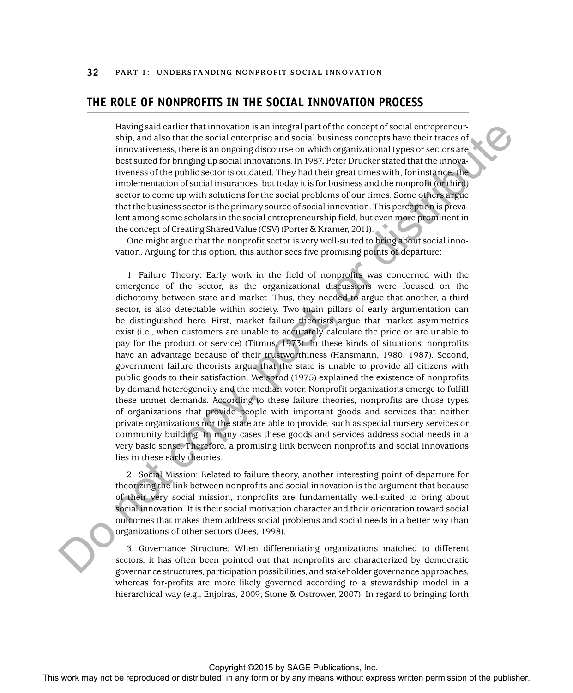# **THE ROLE OF NONPROFITS IN THE SOCIAL INNOVATION PROCESS**

Having said earlier that innovation is an integral part of the concept of social entrepreneurship, and also that the social enterprise and social business concepts have their traces of innovativeness, there is an ongoing discourse on which organizational types or sectors are best suited for bringing up social innovations. In 1987, Peter Drucker stated that the innovativeness of the public sector is outdated. They had their great times with, for instance, the implementation of social insurances; but today it is for business and the nonprofit (or third) sector to come up with solutions for the social problems of our times. Some others argue that the business sector is the primary source of social innovation. This perception is prevalent among some scholars in the social entrepreneurship field, but even more prominent in the concept of Creating Shared Value (CSV) (Porter & Kramer, 2011).

One might argue that the nonprofit sector is very well-suited to bring about social innovation. Arguing for this option, this author sees five promising points of departure:

1. Failure Theory: Early work in the field of nonprofits was concerned with the emergence of the sector, as the organizational discussions were focused on the dichotomy between state and market. Thus, they needed to argue that another, a third sector, is also detectable within society. Two main pillars of early argumentation can be distinguished here. First, market failure theorists argue that market asymmetries exist (i.e., when customers are unable to accurately calculate the price or are unable to pay for the product or service) (Titmus, 1973). In these kinds of situations, nonprofits have an advantage because of their trustworthiness (Hansmann, 1980, 1987). Second, government failure theorists argue that the state is unable to provide all citizens with public goods to their satisfaction. Weisbrod (1975) explained the existence of nonprofits by demand heterogeneity and the median voter. Nonprofit organizations emerge to fulfill these unmet demands. According to these failure theories, nonprofits are those types of organizations that provide people with important goods and services that neither private organizations nor the state are able to provide, such as special nursery services or community building. In many cases these goods and services address social needs in a very basic sense. Therefore, a promising link between nonprofits and social innovations lies in these early theories. Howing and detection or by the restriction of the restriction or by any form or by any form or by any form or by any form or by any form or by any form or by any form or by any form or by any form or by any form or by any

2. Social Mission: Related to failure theory, another interesting point of departure for theorizing the link between nonprofits and social innovation is the argument that because of their very social mission, nonprofits are fundamentally well-suited to bring about social innovation. It is their social motivation character and their orientation toward social outcomes that makes them address social problems and social needs in a better way than organizations of other sectors (Dees, 1998).

3. Governance Structure: When differentiating organizations matched to different sectors, it has often been pointed out that nonprofits are characterized by democratic governance structures, participation possibilities, and stakeholder governance approaches, whereas for-profits are more likely governed according to a stewardship model in a hierarchical way (e.g., Enjolras, 2009; Stone & Ostrower, 2007). In regard to bringing forth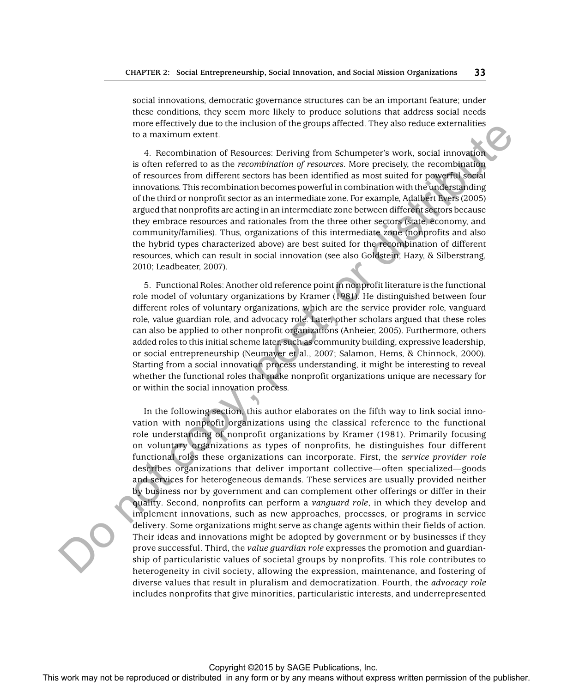social innovations, democratic governance structures can be an important feature; under these conditions, they seem more likely to produce solutions that address social needs more effectively due to the inclusion of the groups affected. They also reduce externalities to a maximum extent.

4. Recombination of Resources: Deriving from Schumpeter's work, social innovation is often referred to as the *recombination of resources*. More precisely, the recombination of resources from different sectors has been identified as most suited for powerful social innovations. This recombination becomes powerful in combination with the understanding of the third or nonprofit sector as an intermediate zone. For example, Adalbert Evers (2005) argued that nonprofits are acting in an intermediate zone between different sectors because they embrace resources and rationales from the three other sectors (state, economy, and community/families). Thus, organizations of this intermediate zone (nonprofits and also the hybrid types characterized above) are best suited for the recombination of different resources, which can result in social innovation (see also Goldstein, Hazy, & Silberstrang, 2010; Leadbeater, 2007).

5. Functional Roles: Another old reference point in nonprofit literature is the functional role model of voluntary organizations by Kramer (1981). He distinguished between four different roles of voluntary organizations, which are the service provider role, vanguard role, value guardian role, and advocacy role. Later, other scholars argued that these roles can also be applied to other nonprofit organizations (Anheier, 2005). Furthermore, others added roles to this initial scheme later, such as community building, expressive leadership, or social entrepreneurship (Neumayer et al., 2007; Salamon, Hems, & Chinnock, 2000). Starting from a social innovation process understanding, it might be interesting to reveal whether the functional roles that make nonprofit organizations unique are necessary for or within the social innovation process.

In the following section, this author elaborates on the fifth way to link social innovation with nonprofit organizations using the classical reference to the functional role understanding of nonprofit organizations by Kramer (1981). Primarily focusing on voluntary organizations as types of nonprofits, he distinguishes four different functional roles these organizations can incorporate. First, the *service provider role* describes organizations that deliver important collective—often specialized—goods and services for heterogeneous demands. These services are usually provided neither by business nor by government and can complement other offerings or differ in their quality. Second, nonprofits can perform a *vanguard role*, in which they develop and implement innovations, such as new approaches, processes, or programs in service delivery. Some organizations might serve as change agents within their fields of action. Their ideas and innovations might be adopted by government or by businesses if they prove successful. Third, the *value guardian role* expresses the promotion and guardianship of particularistic values of societal groups by nonprofits. This role contributes to heterogeneity in civil society, allowing the expression, maintenance, and fostering of diverse values that result in pluralism and democratization. Fourth, the *advocacy role* includes nonprofits that give minorities, particularistic interests, and underrepresented The records or the representation or the representation or the representation of the representation of the representation or the representation of the results of the complete any form or distributed in any form or bustines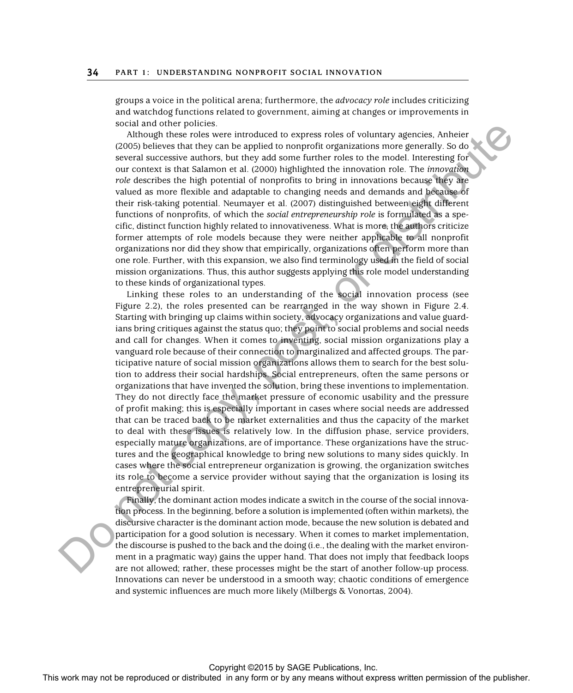groups a voice in the political arena; furthermore, the *advocacy role* includes criticizing and watchdog functions related to government, aiming at changes or improvements in social and other policies.

Although these roles were introduced to express roles of voluntary agencies, Anheier (2005) believes that they can be applied to nonprofit organizations more generally. So do several successive authors, but they add some further roles to the model. Interesting for our context is that Salamon et al. (2000) highlighted the innovation role. The *innovation role* describes the high potential of nonprofits to bring in innovations because they are valued as more flexible and adaptable to changing needs and demands and because of their risk-taking potential. Neumayer et al. (2007) distinguished between eight different functions of nonprofits, of which the *social entrepreneurship role* is formulated as a specific, distinct function highly related to innovativeness. What is more, the authors criticize former attempts of role models because they were neither applicable to all nonprofit organizations nor did they show that empirically, organizations often perform more than one role. Further, with this expansion, we also find terminology used in the field of social mission organizations. Thus, this author suggests applying this role model understanding to these kinds of organizational types.

Linking these roles to an understanding of the social innovation process (see Figure 2.2), the roles presented can be rearranged in the way shown in Figure 2.4. Starting with bringing up claims within society, advocacy organizations and value guardians bring critiques against the status quo; they point to social problems and social needs and call for changes. When it comes to inventing, social mission organizations play a vanguard role because of their connection to marginalized and affected groups. The participative nature of social mission organizations allows them to search for the best solution to address their social hardships. Social entrepreneurs, often the same persons or organizations that have invented the solution, bring these inventions to implementation. They do not directly face the market pressure of economic usability and the pressure of profit making; this is especially important in cases where social needs are addressed that can be traced back to be market externalities and thus the capacity of the market to deal with these issues is relatively low. In the diffusion phase, service providers, especially mature organizations, are of importance. These organizations have the structures and the geographical knowledge to bring new solutions to many sides quickly. In cases where the social entrepreneur organization is growing, the organization switches its role to become a service provider without saying that the organization is losing its entrepreneurial spirit. **For any notice that we have a stributed in any form or be repressed or any form or by any means when**  $\alpha$  **the publisher and the publisher and the publisher and the publisher. This was not be reproduced in any anisother** 

Finally, the dominant action modes indicate a switch in the course of the social innovation process. In the beginning, before a solution is implemented (often within markets), the discursive character is the dominant action mode, because the new solution is debated and participation for a good solution is necessary. When it comes to market implementation, the discourse is pushed to the back and the doing (i.e., the dealing with the market environment in a pragmatic way) gains the upper hand. That does not imply that feedback loops are not allowed; rather, these processes might be the start of another follow-up process. Innovations can never be understood in a smooth way; chaotic conditions of emergence and systemic influences are much more likely (Milbergs & Vonortas, 2004).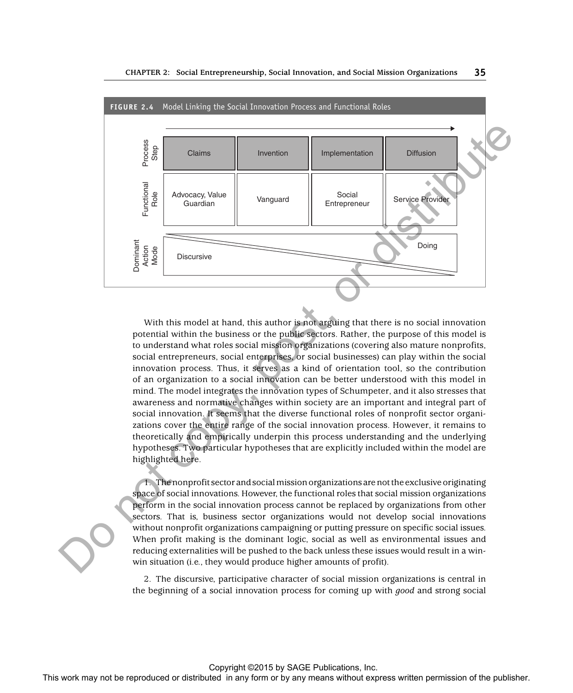

With this model at hand, this author is not arguing that there is no social innovation potential within the business or the public sectors. Rather, the purpose of this model is to understand what roles social mission organizations (covering also mature nonprofits, social entrepreneurs, social enterprises, or social businesses) can play within the social innovation process. Thus, it serves as a kind of orientation tool, so the contribution of an organization to a social innovation can be better understood with this model in mind. The model integrates the innovation types of Schumpeter, and it also stresses that awareness and normative changes within society are an important and integral part of social innovation. It seems that the diverse functional roles of nonprofit sector organizations cover the entire range of the social innovation process. However, it remains to theoretically and empirically underpin this process understanding and the underlying hypotheses. Two particular hypotheses that are explicitly included within the model are highlighted here.

1. The nonprofit sector and social mission organizations are not the exclusive originating space of social innovations. However, the functional roles that social mission organizations perform in the social innovation process cannot be replaced by organizations from other sectors. That is, business sector organizations would not develop social innovations without nonprofit organizations campaigning or putting pressure on specific social issues. When profit making is the dominant logic, social as well as environmental issues and reducing externalities will be pushed to the back unless these issues would result in a winwin situation (i.e., they would produce higher amounts of profit).

2. The discursive, participative character of social mission organizations is central in the beginning of a social innovation process for coming up with *good* and strong social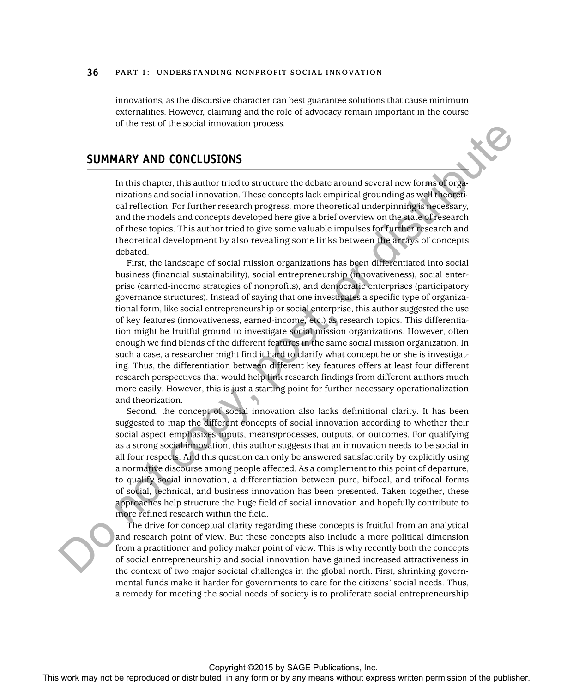innovations, as the discursive character can best guarantee solutions that cause minimum externalities. However, claiming and the role of advocacy remain important in the course of the rest of the social innovation process.

#### **SUMMARY AND CONCLUSIONS**

In this chapter, this author tried to structure the debate around several new forms of organizations and social innovation. These concepts lack empirical grounding as well theoretical reflection. For further research progress, more theoretical underpinning is necessary, and the models and concepts developed here give a brief overview on the state of research of these topics. This author tried to give some valuable impulses for further research and theoretical development by also revealing some links between the arrays of concepts debated.

First, the landscape of social mission organizations has been differentiated into social business (financial sustainability), social entrepreneurship (innovativeness), social enterprise (earned-income strategies of nonprofits), and democratic enterprises (participatory governance structures). Instead of saying that one investigates a specific type of organizational form, like social entrepreneurship or social enterprise, this author suggested the use of key features (innovativeness, earned-income, etc.) as research topics. This differentiation might be fruitful ground to investigate social mission organizations. However, often enough we find blends of the different features in the same social mission organization. In such a case, a researcher might find it hard to clarify what concept he or she is investigating. Thus, the differentiation between different key features offers at least four different research perspectives that would help link research findings from different authors much more easily. However, this is just a starting point for further necessary operationalization and theorization. SUMMARY AND CONCEUSIONS<br>
This interaction three concepts task-empthral ground investigates<br>
means with concepts and the concepts to keep the publisher of the publishers<br>
of the model can concept stributed in any form or be

Second, the concept of social innovation also lacks definitional clarity. It has been suggested to map the different concepts of social innovation according to whether their social aspect emphasizes inputs, means/processes, outputs, or outcomes. For qualifying as a strong social innovation, this author suggests that an innovation needs to be social in all four respects. And this question can only be answered satisfactorily by explicitly using a normative discourse among people affected. As a complement to this point of departure, to qualify social innovation, a differentiation between pure, bifocal, and trifocal forms of social, technical, and business innovation has been presented. Taken together, these approaches help structure the huge field of social innovation and hopefully contribute to more refined research within the field.

The drive for conceptual clarity regarding these concepts is fruitful from an analytical and research point of view. But these concepts also include a more political dimension from a practitioner and policy maker point of view. This is why recently both the concepts of social entrepreneurship and social innovation have gained increased attractiveness in the context of two major societal challenges in the global north. First, shrinking governmental funds make it harder for governments to care for the citizens' social needs. Thus, a remedy for meeting the social needs of society is to proliferate social entrepreneurship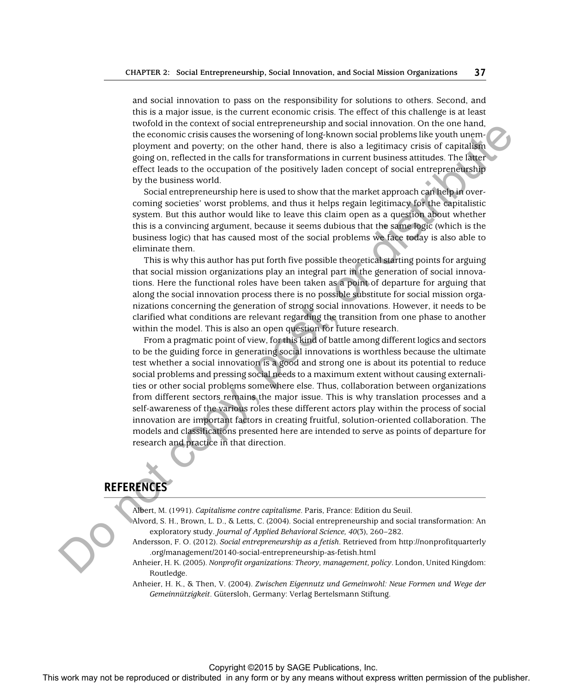and social innovation to pass on the responsibility for solutions to others. Second, and this is a major issue, is the current economic crisis. The effect of this challenge is at least twofold in the context of social entrepreneurship and social innovation. On the one hand, the economic crisis causes the worsening of long-known social problems like youth unemployment and poverty; on the other hand, there is also a legitimacy crisis of capitalism going on, reflected in the calls for transformations in current business attitudes. The latter effect leads to the occupation of the positively laden concept of social entrepreneurship by the business world.

Social entrepreneurship here is used to show that the market approach can help in overcoming societies' worst problems, and thus it helps regain legitimacy for the capitalistic system. But this author would like to leave this claim open as a question about whether this is a convincing argument, because it seems dubious that the same logic (which is the business logic) that has caused most of the social problems we face today is also able to eliminate them.

This is why this author has put forth five possible theoretical starting points for arguing that social mission organizations play an integral part in the generation of social innovations. Here the functional roles have been taken as a point of departure for arguing that along the social innovation process there is no possible substitute for social mission organizations concerning the generation of strong social innovations. However, it needs to be clarified what conditions are relevant regarding the transition from one phase to another within the model. This is also an open question for future research.

From a pragmatic point of view, for this kind of battle among different logics and sectors to be the guiding force in generating social innovations is worthless because the ultimate test whether a social innovation is a good and strong one is about its potential to reduce social problems and pressing social needs to a maximum extent without causing externalities or other social problems somewhere else. Thus, collaboration between organizations from different sectors remains the major issue. This is why translation processes and a self-awareness of the various roles these different actors play within the process of social innovation are important factors in creating fruitful, solution-oriented collaboration. The models and classifications presented here are intended to serve as points of departure for research and practice in that direction. The control or the reproduced or distributed in any form of the reproduced in any form or by any means when  $\alpha$  the reproduced in any form or by any means when  $\alpha$  the reproduced in a mean in any form or by any form or

# **REFERENCES**

Albert, M. (1991). *Capitalisme contre capitalisme*. Paris, France: Edition du Seuil.

- Alvord, S. H., Brown, L. D., & Letts, C. (2004). Social entrepreneurship and social transformation: An exploratory study. *Journal of Applied Behavioral Science, 40*(3), 260–282.
- Andersson, F. O. (2012). *Social entrepreneurship as a fetish*. Retrieved from http://nonprofitquarterly .org/management/20140-social-entrepreneurship-as-fetish.html
- Anheier, H. K. (2005). *Nonprofit organizations: Theory, management, policy*. London, United Kingdom: Routledge.
- Anheier, H. K., & Then, V. (2004). *Zwischen Eigennutz und Gemeinwohl: Neue Formen und Wege der Gemeinnützigkeit*. Gütersloh, Germany: Verlag Bertelsmann Stiftung.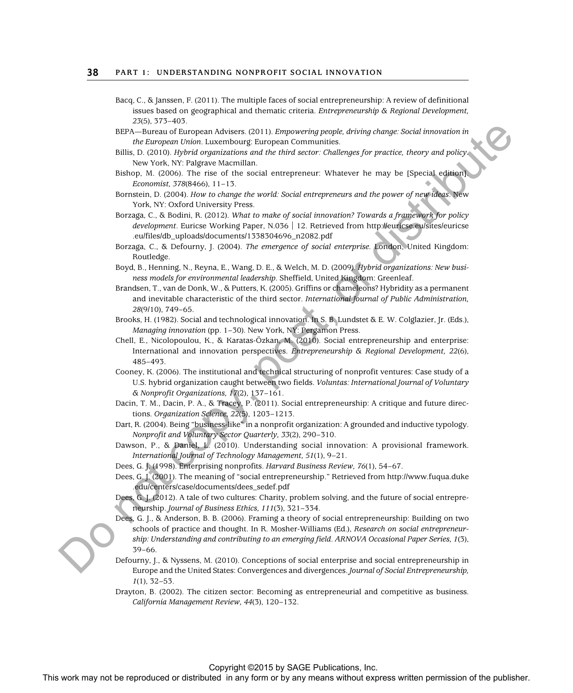- Bacq, C., & Janssen, F. (2011). The multiple faces of social entrepreneurship: A review of definitional issues based on geographical and thematic criteria. *Entrepreneurship & Regional Development, 23*(5), 373–403.
- BEPA—Bureau of European Advisers. (2011). *Empowering people, driving change: Social innovation in the European Union*. Luxembourg: European Communities.
- Billis, D. (2010). *Hybrid organizations and the third sector: Challenges for practice, theory and policy* . New York, NY: Palgrave Macmillan.
- Bishop, M. (2006). The rise of the social entrepreneur: Whatever he may be [Special edition]. *Economist, 378*(8466), 11–13.
- Bornstein, D. (2004). *How to change the world: Social entrepreneurs and the power of new ideas*. New York, NY: Oxford University Press.
- Borzaga, C., & Bodini, R. (2012). *What to make of social innovation? Towards a framework for policy development*. Euricse Working Paper, N.036 | 12. Retrieved from http://euricse.eu/sites/euricse .eu/files/db\_uploads/documents/1338304696\_n2082.pdf
- Borzaga, C., & Defourny, J. (2004). *The emergence of social enterprise.* London, United Kingdom: Routledge.
- Boyd, B., Henning, N., Reyna, E., Wang, D. E., & Welch, M. D. (2009). *Hybrid organizations: New business models for environmental leadership*. Sheffield, United Kingdom: Greenleaf.
- Brandsen, T., van de Donk, W., & Putters, K. (2005). Griffins or chameleons? Hybridity as a permanent and inevitable characteristic of the third sector. *International Journal of Public Administration, 28*(9/10), 749–65.
- Brooks, H. (1982). Social and technological innovation. In S. B. Lundstet & E. W. Colglazier, Jr. (Eds.), *Managing innovation* (pp. 1–30). New York, NY: Pergamon Press.
- Chell, E., Nicolopoulou, K., & Karatas-Özkan, M. (2010). Social entrepreneurship and enterprise: International and innovation perspectives. *Entrepreneurship & Regional Development, 22*(6), 485–493.
- Cooney, K. (2006). The institutional and technical structuring of nonprofit ventures: Case study of a U.S. hybrid organization caught between two fields. *Voluntas: International Journal of Voluntary & Nonprofit Organizations, 17*(2), 137–161.
- Dacin, T. M., Dacin, P. A., & Tracey, P. (2011). Social entrepreneurship: A critique and future directions. *Organization Science, 22*(5), 1203–1213.
- Dart, R. (2004). Being "business-like" in a nonprofit organization: A grounded and inductive typology. *Nonprofit and Voluntary Sector Quarterly, 33*(2), 290–310.
- Dawson, P., & Daniel, L. (2010). Understanding social innovation: A provisional framework. *International Journal of Technology Management, 51*(1), 9–21.
- Dees, G. J. (1998). Enterprising nonprofits. *Harvard Business Review, 76*(1), 54–67.
- Dees, G. J. (2001). The meaning of "social entrepreneurship." Retrieved from http://www.fuqua.duke .edu/centers/case/documents/dees\_sedef.pdf
- Dees, G. J. (2012). A tale of two cultures: Charity, problem solving, and the future of social entrepreneurship. *Journal of Business Ethics, 111*(3), 321–334.
- Dees, G. J., & Anderson, B. B. (2006). Framing a theory of social entrepreneurship: Building on two schools of practice and thought. In R. Mosher-Williams (Ed.), *Research on social entrepreneurship: Understanding and contributing to an emerging field. ARNOVA Occasional Paper Series, 1(3),* 39–66. The matrix of the reproduced or distributed in any form or by any form or by any form or by any form or by any form or by any form or by any form or by any form or by any means when  $\alpha$  and  $\alpha$  (any)  $\alpha$  (any)  $\alpha$  (b)
	- Defourny, J., & Nyssens, M. (2010). Conceptions of social enterprise and social entrepreneurship in Europe and the United States: Convergences and divergences. *Journal of Social Entrepreneurship, 1*(1), 32–53.
	- Drayton, B. (2002). The citizen sector: Becoming as entrepreneurial and competitive as business. *California Management Review, 44*(3), 120–132.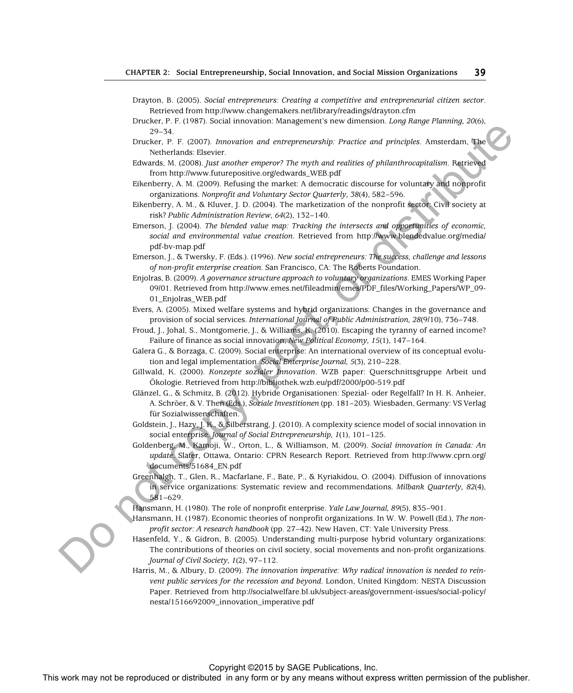- Drayton, B. (2005). *Social entrepreneurs: Creating a competitive and entrepreneurial citizen sector* . Retrieved from http://www.changemakers.net/library/readings/drayton.cfm
- Drucker, P. F. (1987). Social innovation: Management's new dimension. *Long Range Planning, 20* (6), 29–34.
- Drucker, P. F. (2007). *Innovation and entrepreneurship: Practice and principles*. Amsterdam, The Netherlands: Elsevier.
- Edwards, M. (2008). *Just another emperor? The myth and realities of philanthrocapitalism*. Retrieved from http://www.futurepositive.org/edwards\_WEB.pdf
- Eikenberry, A. M. (2009). Refusing the market: A democratic discourse for voluntary and nonprofit organizations. *Nonprofit and Voluntary Sector Quarterly, 38*(4), 582–596.
- Eikenberry, A. M., & Kluver, J. D. (2004). The marketization of the nonprofit sector: Civil society at risk? *Public Administration Review, 64*(2), 132–140.
- Emerson, J. (2004). *The blended value map: Tracking the intersects and opportunities of economic, social and environmental value creation*. Retrieved from http://www.blendedvalue.org/media/ pdf-bv-map.pdf
- Emerson, J., & Twersky, F. (Eds.). (1996). *New social entrepreneurs: The success, challenge and lessons of non-profit enterprise creation.* San Francisco, CA: The Roberts Foundation.
- Enjolras, B. (2009). *A governance structure approach to voluntary organizations*. EMES Working Paper 09/01. Retrieved from http://www.emes.net/fileadmin/emes/PDF\_files/Working\_Papers/WP\_09- 01\_Enjolras\_WEB.pdf
- Evers, A. (2005). Mixed welfare systems and hybrid organizations: Changes in the governance and provision of social services. *International Journal of Public Administration, 28*(9/10), 736–748.
- Froud, J., Johal, S., Montgomerie, J., & Williams, K. (2010). Escaping the tyranny of earned income? Failure of finance as social innovation, *New Political Economy, 15*(1), 147–164.
- Galera G., & Borzaga, C. (2009). Social enterprise: An international overview of its conceptual evolution and legal implementation. *Social Enterprise Journal, 5*(3), 210–228.
- Gillwald, K. (2000). *Konzepte sozialer Innovation*. WZB paper: Querschnittsgruppe Arbeit und Ökologie. Retrieved from http://bibliothek.wzb.eu/pdf/2000/p00-519.pdf
- Glänzel, G., & Schmitz, B. (2012). Hybride Organisationen: Spezial- oder Regelfall? In H. K. Anheier, A. Schröer, & V. Then (Eds.), *Soziale Investitionen* (pp. 181–203). Wiesbaden, Germany: VS Verlag für Sozialwissenschaften.
- Goldstein, J., Hazy, J. K., & Silberstrang, J. (2010). A complexity science model of social innovation in social enterprise. *Journal of Social Entrepreneurship, 1*(1), 101–125.
- Goldenberg, M., Kamoji, W., Orton, L., & Williamson, M. (2009). *Social innovation in Canada: An update*. Slater, Ottawa, Ontario: CPRN Research Report. Retrieved from http://www.cprn.org/ documents/51684\_EN.pdf
- Greenhalgh, T., Glen, R., Macfarlane, F., Bate, P., & Kyriakidou, O. (2004). Diffusion of innovations in service organizations: Systematic review and recommendations. *Milbank Quarterly, 82* (4), 581–629.
- Hansmann, H. (1980). The role of nonprofit enterprise. *Yale Law Journal, 89*(5), 835–901.
- Hansmann, H. (1987). Economic theories of nonprofit organizations. In W. W. Powell (Ed.), *The nonprofit sector: A research handbook* (pp. 27–42). New Haven, CT: Yale University Press.
- Hasenfeld, Y., & Gidron, B. (2005). Understanding multi-purpose hybrid voluntary organizations: The contributions of theories on civil society, social movements and non-profit organizations. *Journal of Civil Society, 1*(2), 97–112.
- Harris, M., & Albury, D. (2009). *The innovation imperative: Why radical innovation is needed to reinvent public services for the recession and beyond*. London, United Kingdom: NESTA Discussion Paper. Retrieved from http://socialwelfare.bl.uk/subject-areas/government-issues/social-policy/ nesta/1516692009\_innovation\_imperative.pdf The repression or the rest may not be repression or distributed in any form or be reproduced in any form or by any means with the repression or be reproduced in any form or be reproduced in any form or be any form or be r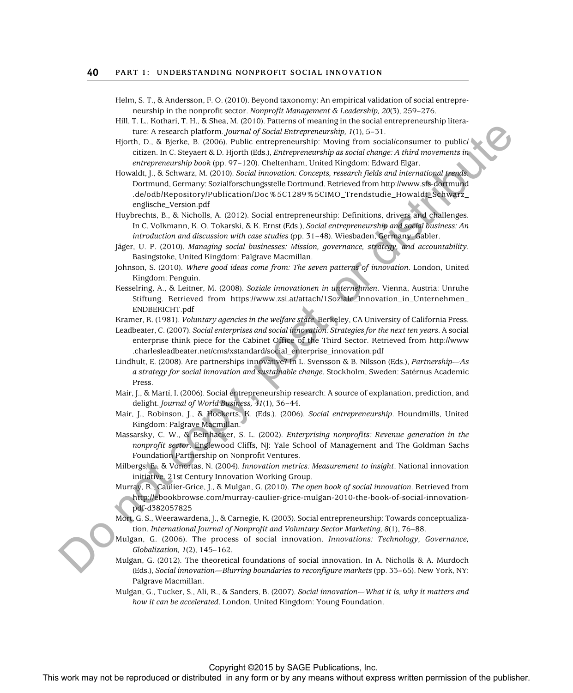Helm, S. T., & Andersson, F. O. (2010). Beyond taxonomy: An empirical validation of social entrepreneurship in the nonprofit sector. *Nonprofit Management & Leadership, 20*(3), 259–276.

Hill, T. L., Kothari, T. H., & Shea, M. (2010). Patterns of meaning in the social entrepreneurship literature: A research platform. *Journal of Social Entrepreneurship, 1*(1), 5–31.

Hjorth, D., & Bjerke, B. (2006). Public entrepreneurship: Moving from social/consumer to public/ citizen. In C. Steyaert & D. Hjorth (Eds.), *Entrepreneurship as social change: A third movements in entrepreneurship book* (pp. 97–120). Cheltenham, United Kingdom: Edward Elgar.

Howaldt, J., & Schwarz, M. (2010). *Social innovation: Concepts, research fields and international trends* . Dortmund, Germany: Sozialforschungsstelle Dortmund. Retrieved from http://www.sfs-dortmund .de/odb/Repository/Publication/Doc%5C1289%5CIMO\_Trendstudie\_Howaldt\_Schwarz\_ englische\_Version.pdf The results work may not be repressed or distributed in any form or by any form or by any means when  $\mu$  and  $\mu$  any  $\mu$  and  $\mu$  any  $\mu$  and  $\mu$  any  $\mu$  and  $\mu$  any  $\mu$  and  $\mu$  any  $\mu$  and  $\mu$  any  $\mu$  any  $\mu$ 

Huybrechts, B., & Nicholls, A. (2012). Social entrepreneurship: Definitions, drivers and challenges. In C. Volkmann, K. O. Tokarski, & K. Ernst (Eds.), *Social entrepreneurship and social business: An introduction and discussion with case studies* (pp. 31–48). Wiesbaden, Germany: Gabler.

- Jäger, U. P. (2010). *Managing social businesses: Mission, governance, strategy, and accountability* . Basingstoke, United Kingdom: Palgrave Macmillan.
- Johnson, S. (2010). *Where good ideas come from: The seven patterns of innovation*. London, United Kingdom: Penguin.
- Kesselring, A., & Leitner, M. (2008). *Soziale innovationen in unternehmen*. Vienna, Austria: Unruhe Stiftung. Retrieved from https://www.zsi.at/attach/1Soziale\_Innovation\_in\_Unternehmen\_ ENDBERICHT.pdf

Kramer, R. (1981). *Voluntary agencies in the welfare state*. Berkeley, CA University of California Press.

- Leadbeater, C. (2007). *Social enterprises and social innovation: Strategies for the next ten years*. A social enterprise think piece for the Cabinet Office of the Third Sector. Retrieved from http://www .charlesleadbeater.net/cms/xstandard/social\_enterprise\_innovation.pdf
- Lindhult, E. (2008). Are partnerships innovative? In L. Svensson & B. Nilsson (Eds.), *Partnership—As a strategy for social innovation and sustainable change*. Stockholm, Sweden: Satérnus Academic Press.
- Mair, J., & Martí, I. (2006). Social entrepreneurship research: A source of explanation, prediction, and delight. *Journal of World Business, 41*(1), 36–44.
- Mair, J., Robinson, J., & Hockerts, K. (Eds.). (2006). *Social entrepreneurship*. Houndmills, United Kingdom: Palgrave Macmillan.
- Massarsky, C. W., & Beinhacker, S. L. (2002). *Enterprising nonprofits: Revenue generation in the nonprofit sector*. Englewood Cliffs, NJ: Yale School of Management and The Goldman Sachs Foundation Partnership on Nonprofit Ventures.
- Milbergs, E., & Vonortas, N. (2004). *Innovation metrics: Measurement to insight*. National innovation initiative. 21st Century Innovation Working Group.
- Murray, R., Caulier-Grice, J., & Mulgan, G. (2010). *The open book of social innovation*. Retrieved from http://ebookbrowse.com/murray-caulier-grice-mulgan-2010-the-book-of-social-innovationpdf-d382057825
- Mort, G. S., Weerawardena, J., & Carnegie, K. (2003). Social entrepreneurship: Towards conceptualization. *International Journal of Nonprofit and Voluntary Sector Marketing, 8*(1), 76–88.
- Mulgan, G. (2006). The process of social innovation. *Innovations: Technology, Governance, Globalization, 1*(2), 145–162.
- Mulgan, G. (2012). The theoretical foundations of social innovation. In A. Nicholls  $\&$  A. Murdoch (Eds.), *Social innovation—Blurring boundaries to reconfigure markets* (pp. 33–65). New York, NY: Palgrave Macmillan.
- Mulgan, G., Tucker, S., Ali, R., & Sanders, B. (2007). *Social innovation—What it is, why it matters and how it can be accelerated*. London, United Kingdom: Young Foundation.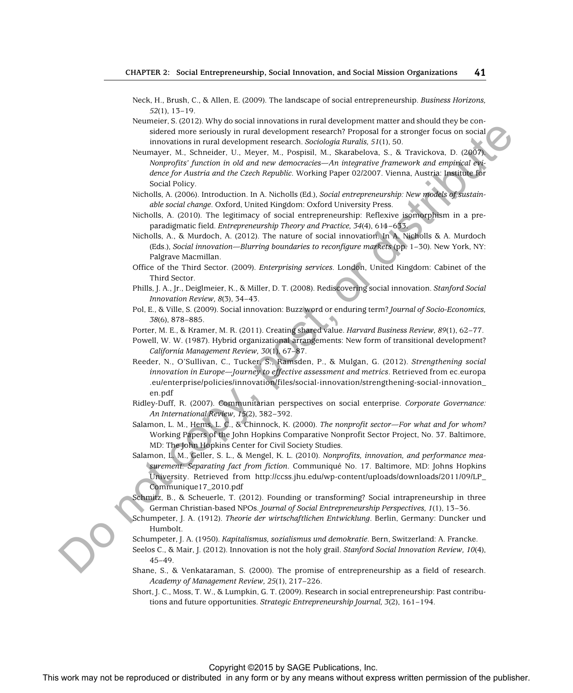- Neck, H., Brush, C., & Allen, E. (2009). The landscape of social entrepreneurship. *Business Horizons, 52*(1), 13–19.
- Neumeier, S. (2012). Why do social innovations in rural development matter and should they be considered more seriously in rural development research? Proposal for a stronger focus on social innovations in rural development research. *Sociologia Ruralis, 51*(1), 50.
- Neumayer, M., Schneider, U., Meyer, M., Pospisil, M., Skarabelova, S., & Travickova, D. (2007). *Nonprofits' function in old and new democracies—An integrative framework and empirical evidence for Austria and the Czech Republic*. Working Paper 02/2007. Vienna, Austria: Institute for Social Policy. This work may not be reproduced or distributed in a stributed in any form or better  $\mu$ . A stributed in a stributed in a stributed in a stributed in a stributed in a stributed in a stributed in a stributed in a stribute
	- Nicholls, A. (2006). Introduction. In A. Nicholls (Ed.), *Social entrepreneurship: New models of sustainable social change*. Oxford, United Kingdom: Oxford University Press.
	- Nicholls, A. (2010). The legitimacy of social entrepreneurship: Reflexive isomorphism in a preparadigmatic field. *Entrepreneurship Theory and Practice, 34*(4), 611–633.
	- Nicholls, A., & Murdoch, A. (2012). The nature of social innovation. In A. Nicholls & A. Murdoch (Eds.), *Social innovation—Blurring boundaries to reconfigure markets* (pp. 1–30). New York, NY: Palgrave Macmillan.
	- Office of the Third Sector. (2009). *Enterprising services*. London, United Kingdom: Cabinet of the Third Sector.
	- Phills, J. A., Jr., Deiglmeier, K., & Miller, D. T. (2008). Rediscovering social innovation. *Stanford Social Innovation Review, 8*(3), 34–43.
	- Pol, E., & Ville, S. (2009). Social innovation: Buzz word or enduring term? *Journal of Socio-Economics, 38*(6), 878–885.
	- Porter, M. E., & Kramer, M. R. (2011). Creating shared value. *Harvard Business Review, 89*(1), 62–77.
	- Powell, W. W. (1987). Hybrid organizational arrangements: New form of transitional development? *California Management Review, 30*(1), 67–87.
	- Reeder, N., O'Sullivan, C., Tucker, S., Ramsden, P., & Mulgan, G. (2012). *Strengthening social innovation in Europe—Journey to effective assessment and metrics*. Retrieved from ec.europa .eu/enterprise/policies/innovation/files/social-innovation/strengthening-social-innovation\_ en.pdf
	- Ridley-Duff, R. (2007). Communitarian perspectives on social enterprise. *Corporate Governance: An International Review, 15*(2), 382–392.
	- Salamon, L. M., Hems, L. C., & Chinnock, K. (2000). *The nonprofit sector—For what and for whom?* Working Papers of the John Hopkins Comparative Nonprofit Sector Project, No. 37. Baltimore, MD: The John Hopkins Center for Civil Society Studies.
	- Salamon, L. M., Geller, S. L., & Mengel, K. L. (2010). *Nonprofits, innovation, and performance measurement: Separating fact from fiction*. Communiqué No. 17. Baltimore, MD: Johns Hopkins University. Retrieved from http://ccss.jhu.edu/wp-content/uploads/downloads/2011/09/LP\_ Communique17\_2010.pdf
	- Schmitz, B., & Scheuerle, T. (2012). Founding or transforming? Social intrapreneurship in three German Christian-based NPOs. *Journal of Social Entrepreneurship Perspectives, 1*(1), 13–36.
	- Schumpeter, J. A. (1912). *Theorie der wirtschaftlichen Entwicklung*. Berlin, Germany: Duncker und Humbolt.
	- Schumpeter, J. A. (1950). *Kapitalismus, sozialismus und demokratie*. Bern, Switzerland: A. Francke.
	- Seelos C., & Mair, J. (2012). Innovation is not the holy grail. *Stanford Social Innovation Review, 10*(4), 45–49.
	- Shane, S., & Venkataraman, S. (2000). The promise of entrepreneurship as a field of research. *Academy of Management Review, 25*(1), 217–226.
	- Short, J. C., Moss, T. W., & Lumpkin, G. T. (2009). Research in social entrepreneurship: Past contributions and future opportunities. *Strategic Entrepreneurship Journal, 3*(2), 161–194.